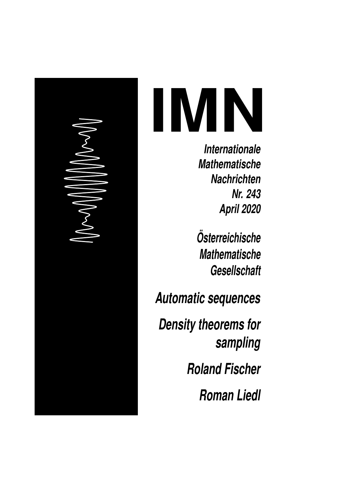# **IMN**

**Internationale Mathematische Nachrichten Nr. 243 April 2020**

**Osterreichische ¨ Mathematische Gesellschaft**

**Automatic sequences**

**Density theorems for sampling**

**Roland Fischer**

**Roman Liedl**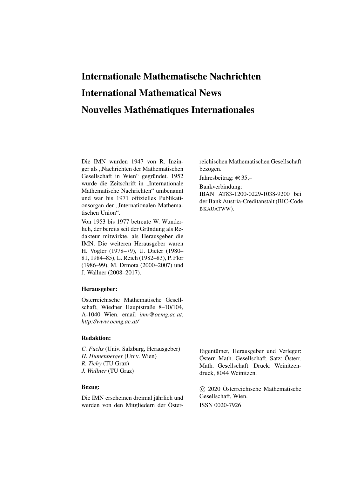# Internationale Mathematische Nachrichten International Mathematical News Nouvelles Mathématiques Internationales

Die IMN wurden 1947 von R. Inzinger als "Nachrichten der Mathematischen Gesellschaft in Wien" gegründet. 1952 wurde die Zeitschrift in "Internationale Mathematische Nachrichten" umbenannt und war bis 1971 offizielles Publikationsorgan der "Internationalen Mathematischen Union".

Von 1953 bis 1977 betreute W. Wunderlich, der bereits seit der Gründung als Redakteur mitwirkte, als Herausgeber die IMN. Die weiteren Herausgeber waren H. Vogler (1978–79), U. Dieter (1980– 81, 1984–85), L. Reich (1982–83), P. Flor (1986–99), M. Drmota (2000–2007) und J. Wallner (2008–2017).

#### Herausgeber:

Österreichische Mathematische Gesellschaft, Wiedner Hauptstraße 8–10/104, A-1040 Wien. email *imn@oemg.ac.at*, *http://www.oemg.ac.at/*

#### Redaktion:

*C. Fuchs* (Univ. Salzburg, Herausgeber) *H. Humenberger* (Univ. Wien) *R. Tichy* (TU Graz) *J. Wallner* (TU Graz)

#### Bezug:

Die IMN erscheinen dreimal jährlich und werden von den Mitgliedern der Österreichischen Mathematischen Gesellschaft bezogen.

Jahresbeitrag:  $\in$  35,-

Bankverbindung:

IBAN AT83-1200-0229-1038-9200 bei der Bank Austria-Creditanstalt (BIC-Code BKAUATWW).

Eigentümer, Herausgeber und Verleger: Österr. Math. Gesellschaft. Satz: Österr. Math. Gesellschaft. Druck: Weinitzendruck, 8044 Weinitzen.

 c 2020 Österreichische Mathematische Gesellschaft, Wien. ISSN 0020-7926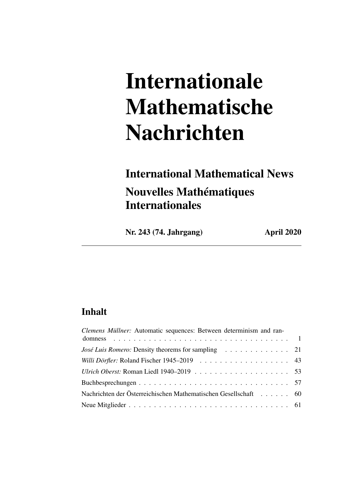# Internationale Mathematische Nachrichten

# International Mathematical News Nouvelles Mathématiques Internationales

Nr. 243 (74. Jahrgang) April 2020

# Inhalt

| Clemens Müllner: Automatic sequences: Between determinism and ran- |  |
|--------------------------------------------------------------------|--|
|                                                                    |  |
| José Luis Romero: Density theorems for sampling 21                 |  |
| Willi Dörfler: Roland Fischer 1945–2019 43                         |  |
|                                                                    |  |
|                                                                    |  |
| Nachrichten der Österreichischen Mathematischen Gesellschaft 60    |  |
|                                                                    |  |
|                                                                    |  |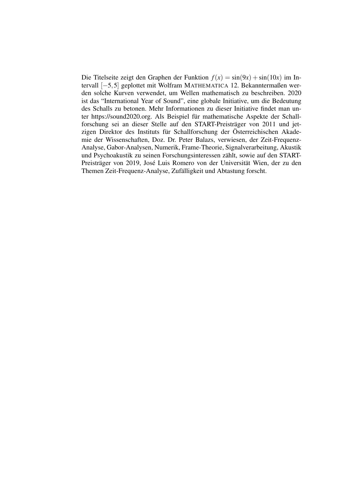Die Titelseite zeigt den Graphen der Funktion  $f(x) = \sin(9x) + \sin(10x)$  im Intervall [−5,5] geplottet mit Wolfram MATHEMATICA 12. Bekanntermaßen werden solche Kurven verwendet, um Wellen mathematisch zu beschreiben. 2020 ist das "International Year of Sound", eine globale Initiative, um die Bedeutung des Schalls zu betonen. Mehr Informationen zu dieser Initiative findet man unter https://sound2020.org. Als Beispiel für mathematische Aspekte der Schallforschung sei an dieser Stelle auf den START-Preisträger von 2011 und jetzigen Direktor des Instituts für Schallforschung der Österreichischen Akademie der Wissenschaften, Doz. Dr. Peter Balazs, verwiesen, der Zeit-Frequenz-Analyse, Gabor-Analysen, Numerik, Frame-Theorie, Signalverarbeitung, Akustik und Psychoakustik zu seinen Forschungsinteressen zählt, sowie auf den START-Preisträger von 2019, José Luis Romero von der Universität Wien, der zu den Themen Zeit-Frequenz-Analyse, Zufälligkeit und Abtastung forscht.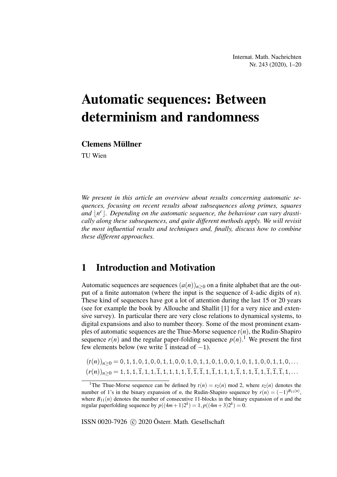# Automatic sequences: Between determinism and randomness

## Clemens Müllner

TU Wien

*We present in this article an overview about results concerning automatic sequences, focusing on recent results about subsequences along primes, squares* and  $\lfloor n^c \rfloor$ . Depending on the automatic sequence, the behaviour can vary drasti*cally along these subsequences, and quite different methods apply. We will revisit the most influential results and techniques and, finally, discuss how to combine these different approaches.*

# 1 Introduction and Motivation

Automatic sequences are sequences  $(a(n))_{n>0}$  on a finite alphabet that are the output of a finite automaton (where the input is the sequence of *k*-adic digits of *n*). These kind of sequences have got a lot of attention during the last 15 or 20 years (see for example the book by Allouche and Shallit [1] for a very nice and extensive survey). In particular there are very close relations to dynamical systems, to digital expansions and also to number theory. Some of the most prominent examples of automatic sequences are the Thue-Morse sequence  $t(n)$ , the Rudin-Shapiro sequence  $r(n)$  and the regular paper-folding sequence  $p(n)$ .<sup>1</sup> We present the first few elements below (we write  $\overline{1}$  instead of  $-1$ ).

 $(t(n))_{n\geq 0} = 0, 1, 1, 0, 1, 0, 0, 1, 1, 0, 0, 1, 0, 1, 1, 0, 0, 1, 0, 0, 1, 1, 0, 0, 1, 1, 0, ...$  $(r(n))_{n\geq 0} = 1, 1, 1, \overline{1}, 1, 1, \overline{1}, 1, 1, 1, 1, \overline{1}, \overline{1}, \overline{1}, 1, \overline{1}, 1, 1, 1, \overline{1}, 1, 1, \overline{1}, 1, \overline{1}, \overline{1}, \overline{1}, 1, \ldots$ 

ISSN 0020-7926 (c) 2020 Österr. Math. Gesellschaft

<sup>&</sup>lt;sup>1</sup>The Thue-Morse sequence can be defined by  $t(n) = s_2(n)$  mod 2, where  $s_2(n)$  denotes the number of 1's in the binary expansion of *n*, the Rudin-Shapiro sequence by  $r(n) = (-1)^{B_{11}(n)}$ , where  $B_{11}(n)$  denotes the number of consecutive 11-blocks in the binary expansion of *n* and the regular paperfolding sequence by  $p((4m+1)2^k) = 1, p((4m+3)2^k) = 0.$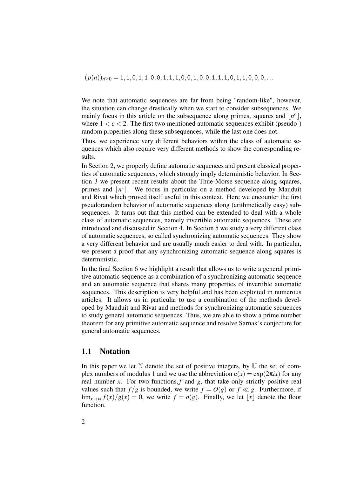$(p(n))_{n>0} = 1, 1, 0, 1, 1, 0, 0, 1, 1, 1, 0, 0, 1, 0, 0, 1, 1, 1, 0, 1, 1, 0, 0, 0, \ldots$ 

We note that automatic sequences are far from being "random-like", however, the situation can change drastically when we start to consider subsequences. We mainly focus in this article on the subsequence along primes, squares and  $\lfloor n^c \rfloor$ , where  $1 < c < 2$ . The first two mentioned automatic sequences exhibit (pseudo-) random properties along these subsequences, while the last one does not.

Thus, we experience very different behaviors within the class of automatic sequences which also require very different methods to show the corresponding results.

In Section 2, we properly define automatic sequences and present classical properties of automatic sequences, which strongly imply deterministic behavior. In Section 3 we present recent results about the Thue-Morse sequence along squares, primes and  $\lfloor n^c \rfloor$ . We focus in particular on a method developed by Mauduit and Rivat which proved itself useful in this context. Here we encounter the first pseudorandom behavior of automatic sequences along (arithmetically easy) subsequences. It turns out that this method can be extended to deal with a whole class of automatic sequences, namely invertible automatic sequences. These are introduced and discussed in Section 4. In Section 5 we study a very different class of automatic sequences, so called synchronizing automatic sequences. They show a very different behavior and are usually much easier to deal with. In particular, we present a proof that any synchronizing automatic sequence along squares is deterministic.

In the final Section 6 we highlight a result that allows us to write a general primitive automatic sequence as a combination of a synchronizing automatic sequence and an automatic sequence that shares many properties of invertible automatic sequences. This description is very helpful and has been exploited in numerous articles. It allows us in particular to use a combination of the methods developed by Mauduit and Rivat and methods for synchronizing automatic sequences to study general automatic sequences. Thus, we are able to show a prime number theorem for any primitive automatic sequence and resolve Sarnak's conjecture for general automatic sequences.

## 1.1 Notation

In this paper we let  $\mathbb N$  denote the set of positive integers, by  $\mathbb U$  the set of complex numbers of modulus 1 and we use the abbreviation  $e(x) = \exp(2\pi ix)$  for any real number  $x$ . For two functions,  $f$  and  $g$ , that take only strictly positive real values such that  $f/g$  is bounded, we write  $f = O(g)$  or  $f \ll g$ . Furthermore, if  $\lim_{x\to\infty} f(x)/g(x) = 0$ , we write  $f = o(g)$ . Finally, we let  $|x|$  denote the floor function.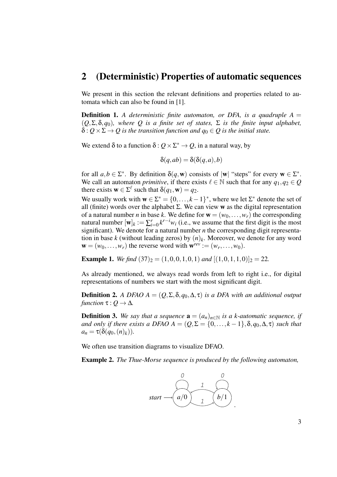# 2 (Deterministic) Properties of automatic sequences

We present in this section the relevant definitions and properties related to automata which can also be found in [1].

**Definition 1.** A deterministic finite automaton, or DFA, is a quadruple  $A =$ (*Q*,Σ,δ,*q*0)*, where Q is a finite set of states,* Σ *is the finite input alphabet,*  $\delta$  :  $Q \times \Sigma \rightarrow Q$  is the transition function and  $q_0 \in Q$  is the initial state.

We extend  $\delta$  to a function  $\delta: Q \times \Sigma^* \to Q$ , in a natural way, by

$$
\delta(q, ab) = \delta(\delta(q, a), b)
$$

for all  $a, b \in \Sigma^*$ . By definition  $\delta(q, \mathbf{w})$  consists of  $|\mathbf{w}|$  "steps" for every  $\mathbf{w} \in \Sigma^*$ . We call an automaton *primitive*, if there exists  $\ell \in \mathbb{N}$  such that for any  $q_1, q_2 \in Q$ there exists  $\mathbf{w} \in \Sigma^{\ell}$  such that  $\delta(q_1, \mathbf{w}) = q_2$ .

We usually work with  $\mathbf{w} \in \Sigma^* = \{0, \ldots, k-1\}^*$ , where we let  $\Sigma^*$  denote the set of all (finite) words over the alphabet  $\Sigma$ . We can view w as the digital representation of a natural number *n* in base *k*. We define for  $\mathbf{w} = (w_0, \dots, w_r)$  the corresponding natural number  $[w]_k := \sum_{i=0}^r k^{r-i} w_i$  (i.e., we assume that the first digit is the most significant). We denote for a natural number  $n$  the corresponding digit representation in base *k* (without leading zeros) by  $(n)_k$ . Moreover, we denote for any word  $\mathbf{w} = (w_0, \dots, w_r)$  the reverse word with  $\mathbf{w}^{rev} := (w_r, \dots, w_0)$ .

**Example 1.** *We find*  $(37)_2 = (1,0,0,1,0,1)$  *and*  $[(1,0,1,1,0)]_2 = 22$ .

As already mentioned, we always read words from left to right i.e., for digital representations of numbers we start with the most significant digit.

**Definition 2.** *A DFAO A* =  $(Q, \Sigma, \delta, q_0, \Delta, \tau)$  *is a DFA with an additional output function*  $\tau$  :  $Q \rightarrow \Delta$ *.* 

**Definition 3.** We say that a sequence  $\mathbf{a} = (a_n)_{n \in \mathbb{N}}$  is a k-automatic sequence, if *and only if there exists a DFAO A* =  $(Q, \Sigma = \{0, \ldots, k-1\}, \delta, q_0, \Delta, \tau)$  *such that*  $a_n = \tau(\delta(q_0, (n)_k)).$ 

We often use transition diagrams to visualize DFAO.

Example 2. *The Thue-Morse sequence is produced by the following automaton,*

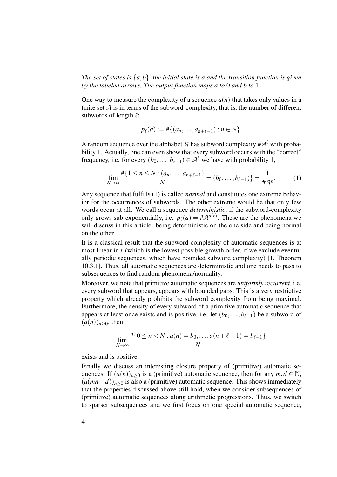*The set of states is* {*a*,*b*}*, the initial state is a and the transition function is given by the labeled arrows. The output function maps a to* 0 *and b to* 1*.*

One way to measure the complexity of a sequence  $a(n)$  that takes only values in a finite set  $A$  is in terms of the subword-complexity, that is, the number of different subwords of length  $\ell$ ;

$$
p_{\ell}(a) := #\{(a_n,\ldots,a_{n+\ell-1}) : n \in \mathbb{N}\}.
$$

A random sequence over the alphabet  $\mathcal A$  has subword complexity  $\#\mathcal A^\ell$  with probability 1. Actually, one can even show that every subword occurs with the "correct" frequency, i.e. for every  $(b_0, \ldots, b_{\ell-1}) \in \mathcal{A}^{\ell}$  we have with probability 1,

$$
\lim_{N \to \infty} \frac{\#\{1 \le n \le N : (a_n, \dots, a_{n+\ell-1})}{N} = (b_0, \dots, b_{\ell-1})\} = \frac{1}{\#\mathcal{A}^{\ell}}.
$$
 (1)

Any sequence that fulfills (1) is called *normal* and constitutes one extreme behavior for the occurrences of subwords. The other extreme would be that only few words occur at all. We call a sequence *deterministic*, if the subword-complexity only grows sub-exponentially, i.e.  $p_{\ell}(a) = #{\cal A}^{o(\ell)}$ . These are the phenomena we will discuss in this article: being deterministic on the one side and being normal on the other.

It is a classical result that the subword complexity of automatic sequences is at most linear in  $\ell$  (which is the lowest possible growth order, if we exclude eventually periodic sequences, which have bounded subword complexity) [1, Theorem 10.3.1]. Thus, all automatic sequences are deterministic and one needs to pass to subsequences to find random phenomena/normality.

Moreover, we note that primitive automatic sequences are *uniformly recurrent*, i.e. every subword that appears, appears with bounded gaps. This is a very restrictive property which already prohibits the subword complexity from being maximal. Furthermore, the density of every subword of a primitive automatic sequence that appears at least once exists and is positive, i.e. let  $(b_0, \ldots, b_{\ell-1})$  be a subword of  $(a(n))_{n>0}$ , then

$$
\lim_{N \to \infty} \frac{\#\{0 \le n < N : a(n) = b_0, \dots, a(n + \ell - 1) = b_{\ell - 1}\}}{N}
$$

exists and is positive.

Finally we discuss an interesting closure property of (primitive) automatic sequences. If  $(a(n))_{n>0}$  is a (primitive) automatic sequence, then for any  $m, d \in \mathbb{N}$ ,  $(a(mn+d))_{n>0}$  is also a (primitive) automatic sequence. This shows immediately that the properties discussed above still hold, when we consider subsequences of (primitive) automatic sequences along arithmetic progressions. Thus, we switch to sparser subsequences and we first focus on one special automatic sequence,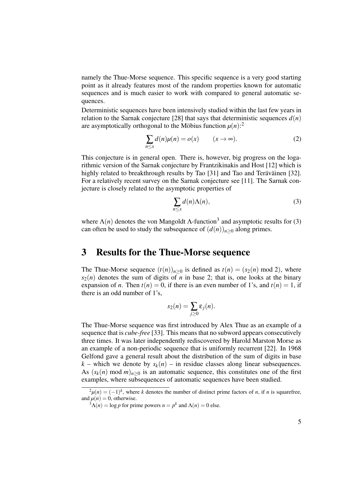namely the Thue-Morse sequence. This specific sequence is a very good starting point as it already features most of the random properties known for automatic sequences and is much easier to work with compared to general automatic sequences.

Deterministic sequences have been intensively studied within the last few years in relation to the Sarnak conjecture [28] that says that deterministic sequences  $d(n)$ are asymptotically orthogonal to the Möbius function  $\mu(n)$ :<sup>2</sup>

$$
\sum_{n \le x} d(n)\mu(n) = o(x) \qquad (x \to \infty).
$$
 (2)

This conjecture is in general open. There is, however, big progress on the logarithmic version of the Sarnak conjecture by Frantzikinakis and Host [12] which is highly related to breakthrough results by Tao [31] and Tao and Teräväinen [32]. For a relatively recent survey on the Sarnak conjecture see [11]. The Sarnak conjecture is closely related to the asymptotic properties of

$$
\sum_{n \le x} d(n) \Lambda(n), \tag{3}
$$

where  $\Lambda(n)$  denotes the von Mangoldt  $\Lambda$ -function<sup>3</sup> and asymptotic results for (3) can often be used to study the subsequence of  $(d(n))_{n>0}$  along primes.

# 3 Results for the Thue-Morse sequence

The Thue-Morse sequence  $(t(n))_{n>0}$  is defined as  $t(n) = (s_2(n) \mod 2)$ , where  $s_2(n)$  denotes the sum of digits of *n* in base 2; that is, one looks at the binary expansion of *n*. Then  $t(n) = 0$ , if there is an even number of 1's, and  $t(n) = 1$ , if there is an odd number of 1's,

$$
s_2(n)=\sum_{j\geq 0}\varepsilon_j(n).
$$

The Thue-Morse sequence was first introduced by Alex Thue as an example of a sequence that is *cube-free* [33]. This means that no subword appears consecutively three times. It was later independently rediscovered by Harold Marston Morse as an example of a non-periodic sequence that is uniformly recurrent [22]. In 1968 Gelfond gave a general result about the distribution of the sum of digits in base  $k$  – which we denote by  $s_k(n)$  – in residue classes along linear subsequences. As  $(s_k(n) \mod m)_{n>0}$  is an automatic sequence, this constitutes one of the first examples, where subsequences of automatic sequences have been studied.

 $2\mu(n) = (-1)^k$ , where *k* denotes the number of distinct prime factors of *n*, if *n* is squarefree, and  $\mu(n) = 0$ , otherwise.

 $3\Lambda(n) = \log p$  for prime powers  $n = p^k$  and  $\Lambda(n) = 0$  else.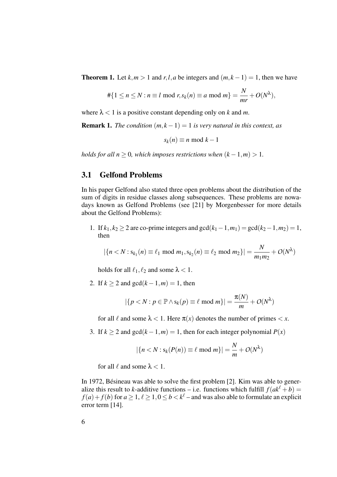**Theorem 1.** Let  $k, m > 1$  and  $r, l, a$  be integers and  $(m, k - 1) = 1$ , then we have

$$
\#\{1 \le n \le N : n \equiv l \mod r, s_k(n) \equiv a \mod m\} = \frac{N}{mr} + O(N^{\lambda}),
$$

where  $\lambda < 1$  is a positive constant depending only on *k* and *m*.

**Remark 1.** *The condition*  $(m, k - 1) = 1$  *is very natural in this context, as* 

 $s_k(n) \equiv n \mod k - 1$ 

*holds for all n* > 0*, which imposes restrictions when*  $(k-1,m) > 1$ *.* 

## 3.1 Gelfond Problems

In his paper Gelfond also stated three open problems about the distribution of the sum of digits in residue classes along subsequences. These problems are nowadays known as Gelfond Problems (see [21] by Morgenbesser for more details about the Gelfond Problems):

1. If  $k_1, k_2 \geq 2$  are co-prime integers and  $gcd(k_1 - 1, m_1) = gcd(k_2 - 1, m_2) = 1$ , then

$$
|\{n < N : s_{k_1}(n) \equiv \ell_1 \text{ mod } m_1, s_{k_2}(n) \equiv \ell_2 \text{ mod } m_2\}| = \frac{N}{m_1 m_2} + O(N^{\lambda})
$$

holds for all  $\ell_1, \ell_2$  and some  $\lambda < 1$ .

2. If  $k \geq 2$  and  $gcd(k-1,m) = 1$ , then

$$
|\{p < N : p \in \mathbb{P} \land s_k(p) \equiv \ell \text{ mod } m\}| = \frac{\pi(N)}{m} + O(N^{\lambda})
$$

for all  $\ell$  and some  $\lambda < 1$ . Here  $\pi(x)$  denotes the number of primes  $\lt x$ .

3. If  $k \ge 2$  and  $gcd(k-1,m) = 1$ , then for each integer polynomial  $P(x)$ 

$$
|\{n < N : \mathsf{s}_k(P(n)) \equiv \ell \bmod m\}| = \frac{N}{m} + O(N^{\lambda})
$$

for all  $\ell$  and some  $\lambda < 1$ .

In 1972, Bésineau was able to solve the first problem [2]. Kim was able to generalize this result to *k*-additive functions – i.e. functions which fulfill  $f(ak^{\ell} + b) =$  $f(a) + f(b)$  for  $a \ge 1$ ,  $\ell \ge 1$ ,  $0 \le b < k^{\ell}$  – and was also able to formulate an explicit error term [14].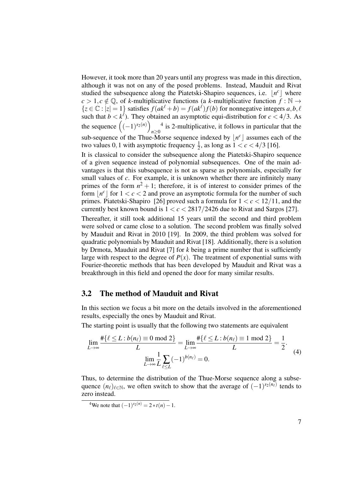However, it took more than 20 years until any progress was made in this direction, although it was not on any of the posed problems. Instead, Mauduit and Rivat studied the subsequence along the Piatetski-Shapiro sequences, i.e.  $\lfloor n^c \rfloor$  where  $c > 1, c \notin \mathbb{Q}$ , of *k*-multiplicative functions (a *k*-multiplicative function  $f : \mathbb{N} \to$  ${z \in \mathbb{C} : |z| = 1}$  satisfies  $f(ak^{\ell} + b) = f(ak^{\ell})f(b)$  for nonnegative integers  $a, b, \ell$ such that  $b < k^{\ell}$ ). They obtained an asymptotic equi-distribution for  $c < 4/3$ . As the sequence  $((-1)^{s_2(n)})$ *n*≥0 <sup>4</sup> is 2-multiplicative, it follows in particular that the sub-sequence of the Thue-Morse sequence indexed by  $\lfloor n^c \rfloor$  assumes each of the two values 0, 1 with asymptotic frequency  $\frac{1}{2}$ , as long as  $1 < c < 4/3$  [16].

It is classical to consider the subsequence along the Piatetski-Shapiro sequence of a given sequence instead of polynomial subsequences. One of the main advantages is that this subsequence is not as sparse as polynomials, especially for small values of *c*. For example, it is unknown whether there are infinitely many primes of the form  $n^2 + 1$ ; therefore, it is of interest to consider primes of the form  $\lfloor n^c \rfloor$  for  $1 < c < 2$  and prove an asymptotic formula for the number of such primes. Piatetski-Shapiro [26] proved such a formula for  $1 < c < 12/11$ , and the currently best known bound is  $1 < c < 2817/2426$  due to Rivat and Sargos [27].

Thereafter, it still took additional 15 years until the second and third problem were solved or came close to a solution. The second problem was finally solved by Mauduit and Rivat in 2010 [19]. In 2009, the third problem was solved for quadratic polynomials by Mauduit and Rivat [18]. Additionally, there is a solution by Drmota, Mauduit and Rivat [7] for *k* being a prime number that is sufficiently large with respect to the degree of  $P(x)$ . The treatment of exponential sums with Fourier-theoretic methods that has been developed by Mauduit and Rivat was a breakthrough in this field and opened the door for many similar results.

## 3.2 The method of Mauduit and Rivat

In this section we focus a bit more on the details involved in the aforementioned results, especially the ones by Mauduit and Rivat.

The starting point is usually that the following two statements are equivalent

$$
\lim_{L \to \infty} \frac{\#\{\ell \le L : b(n_{\ell}) \equiv 0 \mod 2\}}{L} = \lim_{L \to \infty} \frac{\#\{\ell \le L : b(n_{\ell}) \equiv 1 \mod 2\}}{L} = \frac{1}{2}.
$$
\n
$$
\lim_{L \to \infty} \frac{1}{L} \sum_{\ell \le L} (-1)^{b(n_{\ell})} = 0.
$$
\n(4)

Thus, to determine the distribution of the Thue-Morse sequence along a subsequence  $(n_\ell)_{\ell \in \mathbb{N}}$ , we often switch to show that the average of  $(-1)^{s_2(n_\ell)}$  tends to zero instead.

<sup>&</sup>lt;sup>4</sup>We note that  $(-1)^{s_2(n)} = 2 * t(n) - 1$ .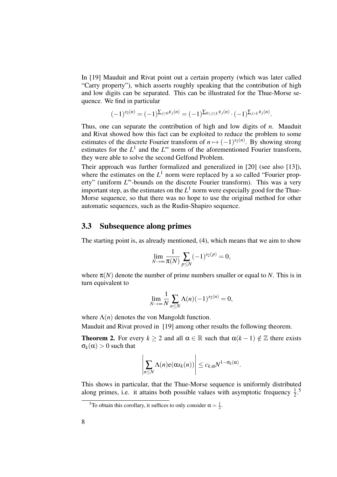In [19] Mauduit and Rivat point out a certain property (which was later called "Carry property"), which asserts roughly speaking that the contribution of high and low digits can be separated. This can be illustrated for the Thue-Morse sequence. We find in particular

$$
(-1)^{s_2(n)} = (-1)^{\sum_{j\geq 0} \varepsilon_j(n)} = (-1)^{\sum_{0\leq j\leq L} \varepsilon_j(n)} \cdot (-1)^{\sum_{j>L} \varepsilon_j(n)}.
$$

Thus, one can separate the contribution of high and low digits of *n*. Mauduit and Rivat showed how this fact can be exploited to reduce the problem to some estimates of the discrete Fourier transform of  $n \mapsto (-1)^{s_2(n)}$ . By showing strong estimates for the  $L^1$  and the  $L^{\infty}$  norm of the aforementioned Fourier transform, they were able to solve the second Gelfond Problem.

Their approach was further formalized and generalized in [20] (see also [13]), where the estimates on the  $L^1$  norm were replaced by a so called "Fourier property" (uniform *L* <sup>∞</sup>-bounds on the discrete Fourier transform). This was a very important step, as the estimates on the  $L^1$  norm were especially good for the Thue-Morse sequence, so that there was no hope to use the original method for other automatic sequences, such as the Rudin-Shapiro sequence.

# 3.3 Subsequence along primes

The starting point is, as already mentioned, (4), which means that we aim to show

$$
\lim_{N \to \infty} \frac{1}{\pi(N)} \sum_{p \le N} (-1)^{s_2(p)} = 0,
$$

where  $\pi(N)$  denote the number of prime numbers smaller or equal to *N*. This is in turn equivalent to

$$
\lim_{N \to \infty} \frac{1}{N} \sum_{n \leq N} \Lambda(n) (-1)^{s_2(n)} = 0,
$$

where  $\Lambda(n)$  denotes the von Mangoldt function.

Mauduit and Rivat proved in [19] among other results the following theorem.

**Theorem 2.** For every  $k > 2$  and all  $\alpha \in \mathbb{R}$  such that  $\alpha(k-1) \notin \mathbb{Z}$  there exists  $\sigma_k(\alpha) > 0$  such that

$$
\left|\sum_{n\leq N}\Lambda(n)e(\alpha s_k(n))\right|\leq c_{k,\alpha}N^{1-\sigma_k(\alpha)}.
$$

This shows in particular, that the Thue-Morse sequence is uniformly distributed along primes, i.e. it attains both possible values with asymptotic frequency  $\frac{1}{2}$ .<sup>5</sup>

<sup>&</sup>lt;sup>5</sup>To obtain this corollary, it suffices to only consider  $\alpha = \frac{1}{2}$ .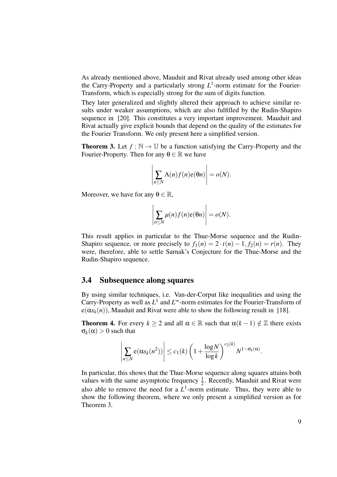As already mentioned above, Mauduit and Rivat already used among other ideas the Carry-Property and a particularly strong  $L^1$ -norm estimate for the Fourier-Transform, which is especially strong for the sum of digits function.

They later generalized and slightly altered their approach to achieve similar results under weaker assumptions, which are also fulfilled by the Rudin-Shapiro sequence in [20]. This constitutes a very important improvement. Mauduit and Rivat actually give explicit bounds that depend on the quality of the estimates for the Fourier Transform. We only present here a simplified version.

**Theorem 3.** Let  $f : \mathbb{N} \to \mathbb{U}$  be a function satisfying the Carry-Property and the Fourier-Property. Then for any  $\theta \in \mathbb{R}$  we have

$$
\left|\sum_{n\leq N}\Lambda(n)f(n)e(\theta n)\right|=o(N).
$$

Moreover, we have for any  $\theta \in \mathbb{R}$ ,

$$
\left|\sum_{n\leq N}\mu(n)f(n)e(\theta n)\right|=o(N).
$$

This result applies in particular to the Thue-Morse sequence and the Rudin-Shapiro sequence, or more precisely to  $f_1(n) = 2 \cdot t(n) - 1$ ,  $f_2(n) = r(n)$ . They were, therefore, able to settle Sarnak's Conjecture for the Thue-Morse and the Rudin-Shapiro sequence.

## 3.4 Subsequence along squares

By using similar techniques, i.e. Van-der-Corput like inequalities and using the Carry-Property as well as  $L^1$  and  $L^\infty$ -norm estimates for the Fourier-Transform of  $e(\alpha s_k(n))$ , Mauduit and Rivat were able to show the following result in [18].

**Theorem 4.** For every  $k \ge 2$  and all  $\alpha \in \mathbb{R}$  such that  $\alpha(k-1) \notin \mathbb{Z}$  there exists  $\sigma_k(\alpha) > 0$  such that

$$
\left|\sum_{n\leq N} \mathbf{e}(\alpha s_k(n^2))\right| \leq c_1(k) \left(1+\frac{\log N}{\log k}\right)^{c_2(k)} N^{1-\sigma_k(\alpha)}.
$$

In particular, this shows that the Thue-Morse sequence along squares attains both values with the same asymptotic frequency  $\frac{1}{2}$ . Recently, Mauduit and Rivat were also able to remove the need for a  $L^1$ -norm estimate. Thus, they were able to show the following theorem, where we only present a simplified version as for Theorem 3.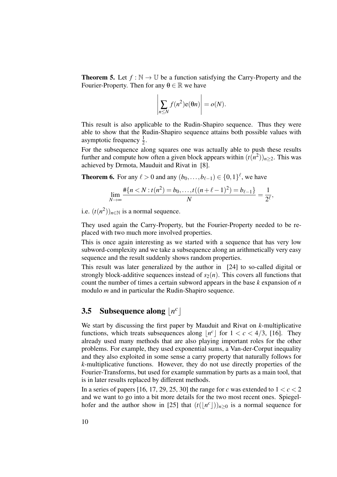**Theorem 5.** Let  $f : \mathbb{N} \to \mathbb{U}$  be a function satisfying the Carry-Property and the Fourier-Property. Then for any  $\theta \in \mathbb{R}$  we have

$$
\left|\sum_{n\leq N} f(n^2) e(\theta n)\right| = o(N).
$$

This result is also applicable to the Rudin-Shapiro sequence. Thus they were able to show that the Rudin-Shapiro sequence attains both possible values with asymptotic frequency  $\frac{1}{2}$ .

For the subsequence along squares one was actually able to push these results further and compute how often a given block appears within  $(t(n^2))_{n\geq 2}$ . This was achieved by Drmota, Mauduit and Rivat in [8].

**Theorem 6.** For any  $\ell > 0$  and any  $(b_0, ..., b_{\ell-1}) \in \{0, 1\}^{\ell}$ , we have

$$
\lim_{N \to \infty} \frac{\#\{n < N : t(n^2) = b_0, \dots, t((n+\ell-1)^2) = b_{\ell-1}\}}{N} = \frac{1}{2^{\ell}},
$$

i.e.  $(t(n^2))_{n \in \mathbb{N}}$  is a normal sequence.

They used again the Carry-Property, but the Fourier-Property needed to be replaced with two much more involved properties.

This is once again interesting as we started with a sequence that has very low subword-complexity and we take a subsequence along an arithmetically very easy sequence and the result suddenly shows random properties.

This result was later generalized by the author in [24] to so-called digital or strongly block-additive sequences instead of  $s_2(n)$ . This covers all functions that count the number of times a certain subword appears in the base *k* expansion of *n* modulo *m* and in particular the Rudin-Shapiro sequence.

# **3.5** Subsequence along  $\lfloor n^c \rfloor$

We start by discussing the first paper by Mauduit and Rivat on *k*-multiplicative functions, which treats subsequences along  $\lfloor n^c \rfloor$  for  $1 < c < 4/3$ , [16]. They already used many methods that are also playing important roles for the other problems. For example, they used exponential sums, a Van-der-Corput inequality and they also exploited in some sense a carry property that naturally follows for *k*-multiplicative functions. However, they do not use directly properties of the Fourier-Transforms, but used for example summation by parts as a main tool, that is in later results replaced by different methods.

In a series of papers [16, 17, 29, 25, 30] the range for *c* was extended to  $1 < c < 2$ and we want to go into a bit more details for the two most recent ones. Spiegelhofer and the author show in [25] that  $(t(\lfloor n^c \rfloor))_{n\geq 0}$  is a normal sequence for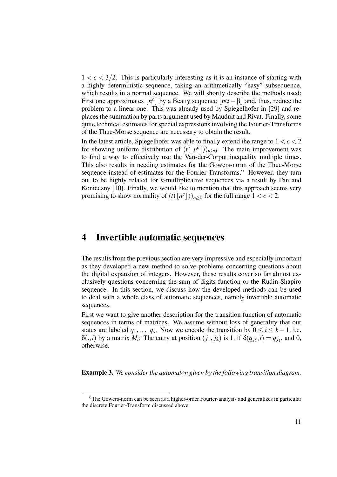$1 < c < 3/2$ . This is particularly interesting as it is an instance of starting with a highly deterministic sequence, taking an arithmetically "easy" subsequence, which results in a normal sequence. We will shortly describe the methods used: First one approximates  $\lfloor n^c \rfloor$  by a Beatty sequence  $\lfloor n\alpha + \beta \rfloor$  and, thus, reduce the problem to a linear one. This was already used by Spiegelhofer in [29] and replaces the summation by parts argument used by Mauduit and Rivat. Finally, some quite technical estimates for special expressions involving the Fourier-Transforms of the Thue-Morse sequence are necessary to obtain the result.

In the latest article, Spiegelhofer was able to finally extend the range to  $1 < c < 2$ for showing uniform distribution of  $(t(\lfloor n^c \rfloor))_{n\geq 0}$ . The main improvement was to find a way to effectively use the Van-der-Corput inequality multiple times. This also results in needing estimates for the Gowers-norm of the Thue-Morse sequence instead of estimates for the Fourier-Transforms.<sup>6</sup> However, they turn out to be highly related for *k*-multiplicative sequences via a result by Fan and Konieczny [10]. Finally, we would like to mention that this approach seems very promising to show normality of  $(t(\lfloor n^c \rfloor))_{n\geq 0}$  for the full range  $1 < c < 2$ .

# 4 Invertible automatic sequences

The results from the previous section are very impressive and especially important as they developed a new method to solve problems concerning questions about the digital expansion of integers. However, these results cover so far almost exclusively questions concerning the sum of digits function or the Rudin-Shapiro sequence. In this section, we discuss how the developed methods can be used to deal with a whole class of automatic sequences, namely invertible automatic sequences.

First we want to give another description for the transition function of automatic sequences in terms of matrices. We assume without loss of generality that our states are labeled  $q_1, \ldots, q_s$ . Now we encode the transition by  $0 \le i \le k - 1$ , i.e. δ(.,*i*) by a matrix *M<sub>i</sub>*: The entry at position  $(j_1, j_2)$  is 1, if  $\delta(q_{j_2}, i) = q_{j_1}$ , and 0, otherwise.

Example 3. *We consider the automaton given by the following transition diagram.*

<sup>&</sup>lt;sup>6</sup>The Gowers-norm can be seen as a higher-order Fourier-analysis and generalizes in particular the discrete Fourier-Transform discussed above.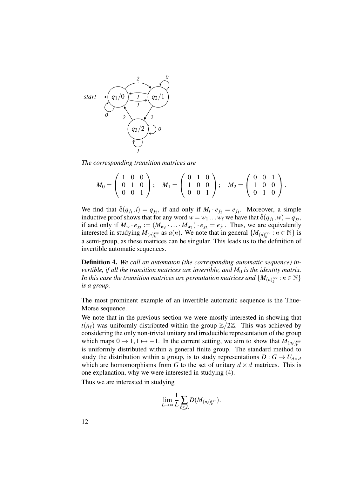

*The corresponding transition matrices are*

$$
M_0 = \left(\begin{array}{ccc} 1 & 0 & 0 \\ 0 & 1 & 0 \\ 0 & 0 & 1 \end{array}\right); \quad M_1 = \left(\begin{array}{ccc} 0 & 1 & 0 \\ 1 & 0 & 0 \\ 0 & 0 & 1 \end{array}\right); \quad M_2 = \left(\begin{array}{ccc} 0 & 0 & 1 \\ 1 & 0 & 0 \\ 0 & 1 & 0 \end{array}\right).
$$

We find that  $\delta(q_{j_1}, i) = q_{j_2}$ , if and only if  $M_i \cdot e_{j_2} = e_{j_1}$ . Moreover, a simple inductive proof shows that for any word  $w = w_1 \dots w_\ell$  we have that  $\delta(q_{j_1}, w) = q_{j_2}$ , if and only if  $M_w \cdot e_{j_2} := (M_{w_\ell} \cdot \ldots \cdot M_{w_1}) \cdot e_{j_2} = e_{j_1}$ . Thus, we are equivalently interested in studying  $M_{(n)_{k}^{rev}}$  as  $a(n)$ . We note that in general  $\{M_{(n)_{k}^{rev}} : n \in \mathbb{N}\}\$ is a semi-group, as these matrices can be singular. This leads us to the definition of invertible automatic sequences.

Definition 4. *We call an automaton (the corresponding automatic sequence) invertible, if all the transition matrices are invertible, and M*<sup>0</sup> *is the identity matrix. In this case the transition matrices are permutation matrices and*  $\{M_{(n)^{rev}_k} : n \in \mathbb{N}\}$ *is a group.*

The most prominent example of an invertible automatic sequence is the Thue-Morse sequence.

We note that in the previous section we were mostly interested in showing that  $t(n_\ell)$  was uniformly distributed within the group  $\mathbb{Z}/2\mathbb{Z}$ . This was achieved by considering the only non-trivial unitary and irreducible representation of the group which maps  $0 \mapsto 1, 1 \mapsto -1$ . In the current setting, we aim to show that  $M_{(n_\ell)_{k}^{rev}}$ is uniformly distributed within a general finite group. The standard method to study the distribution within a group, is to study representations  $D: G \to U_{d \times d}$ which are homomorphisms from *G* to the set of unitary  $d \times d$  matrices. This is one explanation, why we were interested in studying (4).

Thus we are interested in studying

$$
\lim_{L\to\infty}\frac{1}{L}\sum_{\ell\leq L}D(M_{(n_\ell)_{k}^{rev}}).
$$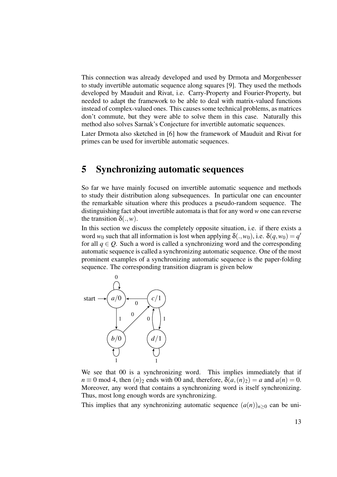This connection was already developed and used by Drmota and Morgenbesser to study invertible automatic sequence along squares [9]. They used the methods developed by Mauduit and Rivat, i.e. Carry-Property and Fourier-Property, but needed to adapt the framework to be able to deal with matrix-valued functions instead of complex-valued ones. This causes some technical problems, as matrices don't commute, but they were able to solve them in this case. Naturally this method also solves Sarnak's Conjecture for invertible automatic sequences.

Later Drmota also sketched in [6] how the framework of Mauduit and Rivat for primes can be used for invertible automatic sequences.

# 5 Synchronizing automatic sequences

So far we have mainly focused on invertible automatic sequence and methods to study their distribution along subsequences. In particular one can encounter the remarkable situation where this produces a pseudo-random sequence. The distinguishing fact about invertible automata is that for any word *w* one can reverse the transition  $\delta(.,w)$ .

In this section we discuss the completely opposite situation, i.e. if there exists a word  $w_0$  such that all information is lost when applying  $\delta(.,w_0)$ , i.e.  $\delta(q,w_0) = q'$ for all  $q \in Q$ . Such a word is called a synchronizing word and the corresponding automatic sequence is called a synchronizing automatic sequence. One of the most prominent examples of a synchronizing automatic sequence is the paper-folding sequence. The corresponding transition diagram is given below



We see that 00 is a synchronizing word. This implies immediately that if  $n \equiv 0 \mod 4$ , then  $(n)_2$  ends with 00 and, therefore,  $\delta(a,(n)_2) = a$  and  $a(n) = 0$ . Moreover, any word that contains a synchronizing word is itself synchronizing. Thus, most long enough words are synchronizing.

This implies that any synchronizing automatic sequence  $(a(n))_{n>0}$  can be uni-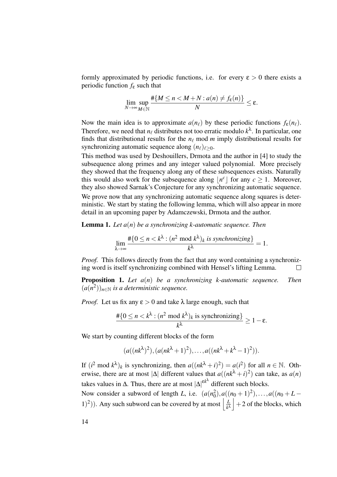formly approximated by periodic functions, i.e. for every  $\varepsilon > 0$  there exists a periodic function *f*<sup>ε</sup> such that

$$
\lim_{N\to\infty}\sup_{M\in\mathbb{N}}\frac{\#\{M\leq n< M+N: a(n)\neq f_{\varepsilon}(n)\}}{N}\leq \varepsilon.
$$

Now the main idea is to approximate  $a(n_\ell)$  by these periodic functions  $f_\epsilon(n_\ell)$ . Therefore, we need that  $n_\ell$  distributes not too erratic modulo  $k^\lambda$ . In particular, one finds that distributional results for the  $n_\ell$  mod *m* imply distributional results for synchronizing automatic sequence along  $(n_\ell)_{\ell>0}$ .

This method was used by Deshouillers, Drmota and the author in [4] to study the subsequence along primes and any integer valued polynomial. More precisely they showed that the frequency along any of these subsequences exists. Naturally this would also work for the subsequence along  $\lfloor n^c \rfloor$  for any  $c \ge 1$ . Moreover, they also showed Sarnak's Conjecture for any synchronizing automatic sequence. We prove now that any synchronizing automatic sequence along squares is deterministic. We start by stating the following lemma, which will also appear in more detail in an upcoming paper by Adamczewski, Drmota and the author.

Lemma 1. *Let a*(*n*) *be a synchronizing k-automatic sequence. Then*

$$
\lim_{\lambda \to \infty} \frac{\#\{0 \le n < k^{\lambda} : (n^2 \bmod k^{\lambda})_k \text{ is synchronizing}\}}{k^{\lambda}} = 1.
$$

*Proof.* This follows directly from the fact that any word containing a synchronizing word is itself synchronizing combined with Hensel's lifting Lemma.  $\Box$ 

Proposition 1. *Let a*(*n*) *be a synchronizing k-automatic sequence. Then*  $(a(n^2))_{n \in \mathbb{N}}$  *is a deterministic sequence.* 

*Proof.* Let us fix any  $\varepsilon > 0$  and take  $\lambda$  large enough, such that

$$
\frac{\#\{0 \le n < k^{\lambda} : (n^2 \bmod k^{\lambda})_k \text{ is synchronizing}\}}{k^{\lambda}} \ge 1 - \varepsilon.
$$

We start by counting different blocks of the form

$$
(a((nk\lambda)2),(a(nk\lambda+1)2),...,a((nk\lambda+k\lambda-1)2)).
$$

If  $(i^2 \mod k^{\lambda})_k$  is synchronizing, then  $a((nk^{\lambda}+i)^2) = a(i^2)$  for all  $n \in \mathbb{N}$ . Otherwise, there are at most  $|\Delta|$  different values that  $a((nk^{\lambda}+i)^2)$  can take, as  $a(n)$ takes values in  $\Delta$ . Thus, there are at most  $|\Delta|^{ \varepsilon k^{\lambda}}$  different such blocks.

Now consider a subword of length *L*, i.e.  $(a(n_0^2), a((n_0+1)^2),...,a((n_0+L-1)^2))$ 1<sup>(2)</sup>). Any such subword can be covered by at most  $\frac{L}{\omega}$  $\left| \frac{L}{k^{\lambda}} \right|$  + 2 of the blocks, which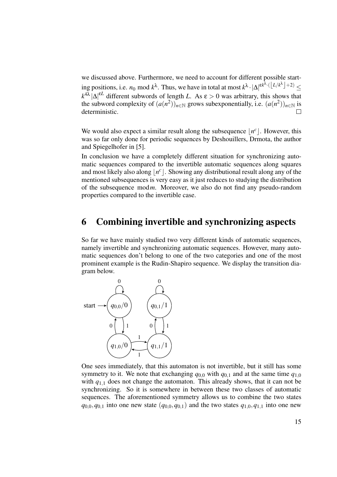we discussed above. Furthermore, we need to account for different possible starting positions, i.e.  $n_0 \mod k^{\lambda}$ . Thus, we have in total at most  $k^{\lambda} \cdot |\Delta|^{ \epsilon k^{\lambda} \cdot (\lfloor L/k^{\lambda} \rfloor + 2)} \le$  $k^{4\lambda} |\Delta|^{eL}$  different subwords of length *L*. As  $\varepsilon > 0$  was arbitrary, this shows that the subword complexity of  $(a(n^2))_{n \in \mathbb{N}}$  grows subexponentially, i.e.  $(a(n^2))_{n \in \mathbb{N}}$  is deterministic.

We would also expect a similar result along the subsequence  $\lfloor n^c \rfloor$ . However, this was so far only done for periodic sequences by Deshouillers, Drmota, the author and Spiegelhofer in [5].

In conclusion we have a completely different situation for synchronizing automatic sequences compared to the invertible automatic sequences along squares and most likely also along  $\lfloor n^c \rfloor$ . Showing any distributional result along any of the mentioned subsequences is very easy as it just reduces to studying the distribution of the subsequence mod*m*. Moreover, we also do not find any pseudo-random properties compared to the invertible case.

# 6 Combining invertible and synchronizing aspects

So far we have mainly studied two very different kinds of automatic sequences, namely invertible and synchronizing automatic sequences. However, many automatic sequences don't belong to one of the two categories and one of the most prominent example is the Rudin-Shapiro sequence. We display the transition diagram below.



One sees immediately, that this automaton is not invertible, but it still has some symmetry to it. We note that exchanging  $q_{0,0}$  with  $q_{0,1}$  and at the same time  $q_{1,0}$ with  $q_{1,1}$  does not change the automaton. This already shows, that it can not be synchronizing. So it is somewhere in between these two classes of automatic sequences. The aforementioned symmetry allows us to combine the two states  $q_{0,0}, q_{0,1}$  into one new state  $(q_{0,0}, q_{0,1})$  and the two states  $q_{1,0}, q_{1,1}$  into one new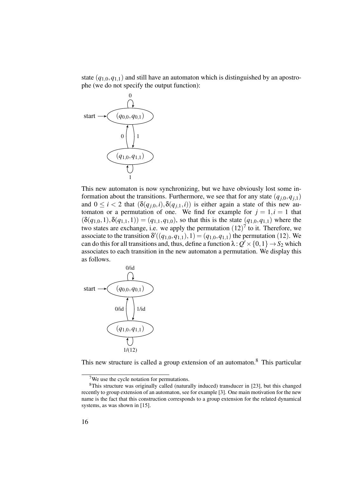state  $(q_{1,0}, q_{1,1})$  and still have an automaton which is distinguished by an apostrophe (we do not specify the output function):



This new automaton is now synchronizing, but we have obviously lost some information about the transitions. Furthermore, we see that for any state  $(q_{i,0}, q_{i,1})$ and  $0 \le i < 2$  that  $(\delta(q_{j,0}, i), \delta(q_{j,1}, i))$  is either again a state of this new automaton or a permutation of one. We find for example for  $j = 1, i = 1$  that  $(\delta(q_{1,0},1), \delta(q_{1,1},1)) = (q_{1,1}, q_{1,0}),$  so that this is the state  $(q_{1,0}, q_{1,1})$  where the two states are exchange, i.e. we apply the permutation  $(12)^7$  to it. Therefore, we associate to the transition  $\delta'((q_{1,0}, q_{1,1}), 1) = (q_{1,0}, q_{1,1})$  the permutation (12). We can do this for all transitions and, thus, define a function  $\lambda: Q' \times \{0,1\} \to S_2$  which associates to each transition in the new automaton a permutation. We display this as follows.



This new structure is called a group extension of an automaton.<sup>8</sup> This particular

<sup>&</sup>lt;sup>7</sup>We use the cycle notation for permutations.

<sup>8</sup>This structure was originally called (naturally induced) transducer in [23], but this changed recently to group extension of an automaton, see for example [3]. One main motivation for the new name is the fact that this construction corresponds to a group extension for the related dynamical systems, as was shown in [15].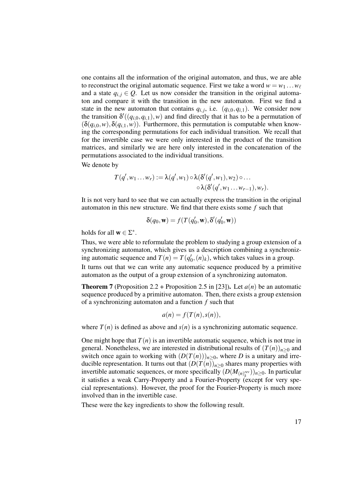one contains all the information of the original automaton, and thus, we are able to reconstruct the original automatic sequence. First we take a word  $w = w_1 \dots w_\ell$ and a state  $q_{i,j} \in Q$ . Let us now consider the transition in the original automaton and compare it with the transition in the new automaton. First we find a state in the new automaton that contains  $q_{i,j}$ , i.e.  $(q_{i,0}, q_{i,1})$ . We consider now the transition  $\delta'((q_{i,0}, q_{i,1}), w)$  and find directly that it has to be a permutation of  $(\delta(q_{i,0}, w), \delta(q_{i,1}, w))$ . Furthermore, this permutation is computable when knowing the corresponding permutations for each individual transition. We recall that for the invertible case we were only interested in the product of the transition matrices, and similarly we are here only interested in the concatenation of the permutations associated to the individual transitions.

We denote by

$$
T(q', w_1 \ldots w_r) := \lambda(q', w_1) \circ \lambda(\delta'(q', w_1), w_2) \circ \ldots
$$

$$
\circ \lambda(\delta'(q', w_1 \ldots w_{r-1}), w_r).
$$

It is not very hard to see that we can actually express the transition in the original automaton in this new structure. We find that there exists some *f* such that

$$
\delta(q_0, \mathbf{w}) = f(T(q'_0, \mathbf{w}), \delta'(q'_0, \mathbf{w}))
$$

holds for all  $\mathbf{w} \in \Sigma^*$ .

Thus, we were able to reformulate the problem to studying a group extension of a synchronizing automaton, which gives us a description combining a synchronizing automatic sequence and  $T(n) = T(q'_0, (n)_k)$ , which takes values in a group. It turns out that we can write any automatic sequence produced by a primitive automaton as the output of a group extension of a synchronizing automaton.

**Theorem 7** (Proposition 2.2 + Proposition 2.5 in [23]). Let  $a(n)$  be an automatic sequence produced by a primitive automaton. Then, there exists a group extension of a synchronizing automaton and a function *f* such that

$$
a(n) = f(T(n), s(n)),
$$

where  $T(n)$  is defined as above and  $s(n)$  is a synchronizing automatic sequence.

One might hope that  $T(n)$  is an invertible automatic sequence, which is not true in general. Nonetheless, we are interested in distributional results of  $(T(n))_{n>0}$  and switch once again to working with  $(D(T(n)))_{n\geq 0}$ , where *D* is a unitary and irreducible representation. It turns out that  $(D(T(n))_{n\geq 0}$  shares many properties with invertible automatic sequences, or more specifically  $(D(M_{(n)k}^{\text{rev}}))_{n\geq 0}$ . In particular it satisfies a weak Carry-Property and a Fourier-Property (except for very special representations). However, the proof for the Fourier-Property is much more involved than in the invertible case.

These were the key ingredients to show the following result.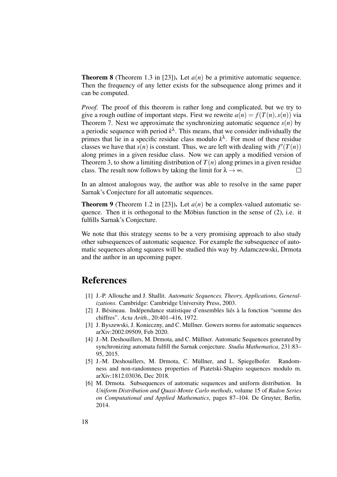**Theorem 8** (Theorem 1.3 in [23]). Let  $a(n)$  be a primitive automatic sequence. Then the frequency of any letter exists for the subsequence along primes and it can be computed.

*Proof.* The proof of this theorem is rather long and complicated, but we try to give a rough outline of important steps. First we rewrite  $a(n) = f(T(n), s(n))$  via Theorem 7. Next we approximate the synchronizing automatic sequence  $s(n)$  by a periodic sequence with period  $k^{\lambda}$ . This means, that we consider individually the primes that lie in a specific residue class modulo  $k^{\lambda}$ . For most of these residue classes we have that  $s(n)$  is constant. Thus, we are left with dealing with  $f'(T(n))$ along primes in a given residue class. Now we can apply a modified version of Theorem 3, to show a limiting distribution of  $T(n)$  along primes in a given residue class. The result now follows by taking the limit for  $\lambda \to \infty$ .

In an almost analogous way, the author was able to resolve in the same paper Sarnak's Conjecture for all automatic sequences.

**Theorem 9** (Theorem 1.2 in [23]). Let  $a(n)$  be a complex-valued automatic sequence. Then it is orthogonal to the Möbius function in the sense of (2), i.e. it fulfills Sarnak's Conjecture.

We note that this strategy seems to be a very promising approach to also study other subsequences of automatic sequence. For example the subsequence of automatic sequences along squares will be studied this way by Adamczewski, Drmota and the author in an upcoming paper.

# **References**

- [1] J.-P. Allouche and J. Shallit. *Automatic Sequences. Theory, Applications, Generalizations.* Cambridge: Cambridge University Press, 2003.
- [2] J. Bésineau. Indépendance statistique d'ensembles liés à la fonction "somme des chiffres". *Acta Arith.*, 20:401–416, 1972.
- [3] J. Byszewski, J. Konieczny, and C. Müllner. Gowers norms for automatic sequences arXiv:2002.09509, Feb 2020.
- [4] J.-M. Deshouillers, M. Drmota, and C. Müllner. Automatic Sequences generated by synchronizing automata fulfill the Sarnak conjecture. *Studia Mathematica*, 231:83– 95, 2015.
- [5] J.-M. Deshouillers, M. Drmota, C. Müllner, and L. Spiegelhofer. Randomness and non-randomness properties of Piatetski-Shapiro sequences modulo m. arXiv:1812.03036, Dec 2018.
- [6] M. Drmota. Subsequences of automatic sequences and uniform distribution. In *Uniform Distribution and Quasi-Monte Carlo methods*, volume 15 of *Radon Series on Computational and Applied Mathematics*, pages 87–104. De Gruyter, Berlin, 2014.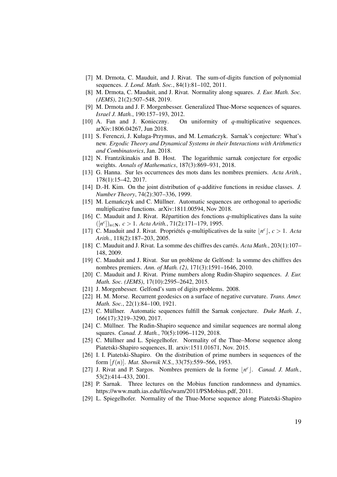- [7] M. Drmota, C. Mauduit, and J. Rivat. The sum-of-digits function of polynomial sequences. *J. Lond. Math. Soc.*, 84(1):81–102, 2011.
- [8] M. Drmota, C. Mauduit, and J. Rivat. Normality along squares. *J. Eur. Math. Soc. (JEMS)*, 21(2):507–548, 2019.
- [9] M. Drmota and J. F. Morgenbesser. Generalized Thue-Morse sequences of squares. *Israel J. Math.*, 190:157–193, 2012.
- [10] A. Fan and J. Konieczny. On uniformity of *q*-multiplicative sequences. arXiv:1806.04267, Jun 2018.
- [11] S. Ferenczi, J. Kułaga-Przymus, and M. Lemanczyk. Sarnak's conjecture: What's ´ new. *Ergodic Theory and Dynamical Systems in their Interactions with Arithmetics and Combinatorics*, Jan. 2018.
- [12] N. Frantzikinakis and B. Host. The logarithmic sarnak conjecture for ergodic weights. *Annals of Mathematics*, 187(3):869–931, 2018.
- [13] G. Hanna. Sur les occurrences des mots dans les nombres premiers. *Acta Arith.*, 178(1):15–42, 2017.
- [14] D.-H. Kim. On the joint distribution of *q*-additive functions in residue classes. *J. Number Theory*, 74(2):307–336, 1999.
- [15] M. Lemanczyk and C. Müllner. Automatic sequences are orthogonal to aperiodic multiplicative functions. arXiv:1811.00594, Nov 2018.
- [16] C. Mauduit and J. Rivat. Répartition des fonctions *q*-multiplicatives dans la suite ([*n c* ])*n*∈N, *c* > 1. *Acta Arith.*, 71(2):171–179, 1995.
- [17] C. Mauduit and J. Rivat. Propriétés *q*-multiplicatives de la suite  $\lfloor n^c \rfloor$ ,  $c > 1$ . *Acta Arith.*, 118(2):187–203, 2005.
- [18] C. Mauduit and J. Rivat. La somme des chiffres des carrés. *Acta Math.*, 203(1):107– 148, 2009.
- [19] C. Mauduit and J. Rivat. Sur un problème de Gelfond: la somme des chiffres des nombres premiers. *Ann. of Math. (2)*, 171(3):1591–1646, 2010.
- [20] C. Mauduit and J. Rivat. Prime numbers along Rudin-Shapiro sequences. *J. Eur. Math. Soc. (JEMS)*, 17(10):2595–2642, 2015.
- [21] J. Morgenbesser. Gelfond's sum of digits problems. 2008.
- [22] H. M. Morse. Recurrent geodesics on a surface of negative curvature. *Trans. Amer. Math. Soc.*, 22(1):84–100, 1921.
- [23] C. Müllner. Automatic sequences fulfill the Sarnak conjecture. *Duke Math. J.*, 166(17):3219–3290, 2017.
- [24] C. Müllner. The Rudin-Shapiro sequence and similar sequences are normal along squares. *Canad. J. Math.*, 70(5):1096–1129, 2018.
- [25] C. Müllner and L. Spiegelhofer. Normality of the Thue–Morse sequence along Piatetski-Shapiro sequences, II. arxiv:1511.01671, Nov. 2015.
- [26] I. I. Piatetski-Shapiro. On the distribution of prime numbers in sequences of the form [ *f*(*n*)]. *Mat. Sbornik N.S.*, 33(75):559–566, 1953.
- [27] J. Rivat and P. Sargos. Nombres premiers de la forme  $\lfloor n^c \rfloor$ . *Canad. J. Math.*, 53(2):414–433, 2001.
- [28] P. Sarnak. Three lectures on the Mobius function randomness and dynamics. https://www.math.ias.edu/files/wam/2011/PSMobius.pdf, 2011.
- [29] L. Spiegelhofer. Normality of the Thue-Morse sequence along Piatetski-Shapiro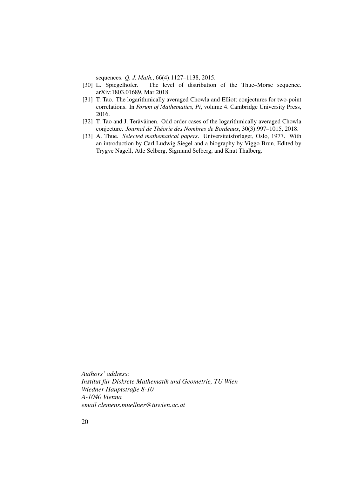sequences. *Q. J. Math.*, 66(4):1127–1138, 2015.

- [30] L. Spiegelhofer. The level of distribution of the Thue–Morse sequence. arXiv:1803.01689, Mar 2018.
- [31] T. Tao. The logarithmically averaged Chowla and Elliott conjectures for two-point correlations. In *Forum of Mathematics, Pi*, volume 4. Cambridge University Press, 2016.
- [32] T. Tao and J. Teräväinen. Odd order cases of the logarithmically averaged Chowla conjecture. *Journal de Théorie des Nombres de Bordeaux*, 30(3):997–1015, 2018.
- [33] A. Thue. *Selected mathematical papers*. Universitetsforlaget, Oslo, 1977. With an introduction by Carl Ludwig Siegel and a biography by Viggo Brun, Edited by Trygve Nagell, Atle Selberg, Sigmund Selberg, and Knut Thalberg.

*Authors' address: Institut für Diskrete Mathematik und Geometrie, TU Wien Wiedner Hauptstraße 8-10 A-1040 Vienna email clemens.muellner@tuwien.ac.at*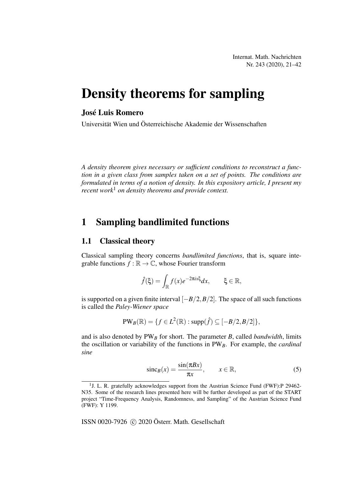Internat. Math. Nachrichten Nr. 243 (2020), 21–42

# Density theorems for sampling

## José Luis Romero

Universität Wien und Österreichische Akademie der Wissenschaften

*A density theorem gives necessary or sufficient conditions to reconstruct a function in a given class from samples taken on a set of points. The conditions are formulated in terms of a notion of density. In this expository article, I present my recent work*<sup>1</sup> *on density theorems and provide context.*

# 1 Sampling bandlimited functions

### 1.1 Classical theory

Classical sampling theory concerns *bandlimited functions*, that is, square integrable functions  $f : \mathbb{R} \to \mathbb{C}$ , whose Fourier transform

$$
\hat{f}(\xi) = \int_{\mathbb{R}} f(x)e^{-2\pi ix\xi} dx, \qquad \xi \in \mathbb{R},
$$

is supported on a given finite interval  $[-B/2, B/2]$ . The space of all such functions is called the *Paley-Wiener space*

$$
PW_B(\mathbb{R})=\{f\in L^2(\mathbb{R}): \text{supp}(\hat{f})\subseteq [-B/2,B/2]\},\
$$

and is also denoted by  $PW_B$  for short. The parameter *B*, called *bandwidth*, limits the oscillation or variability of the functions in PW*B*. For example, the *cardinal sine*

$$
\text{sinc}_B(x) = \frac{\sin(\pi Bx)}{\pi x}, \qquad x \in \mathbb{R}, \tag{5}
$$

ISSN 0020-7926 (c) 2020 Österr. Math. Gesellschaft

<sup>&</sup>lt;sup>1</sup>J. L. R. gratefully acknowledges support from the Austrian Science Fund (FWF):P 29462-N35. Some of the research lines presented here will be further developed as part of the START project "Time-Frequency Analysis, Randomness, and Sampling" of the Austrian Science Fund (FWF): Y 1199.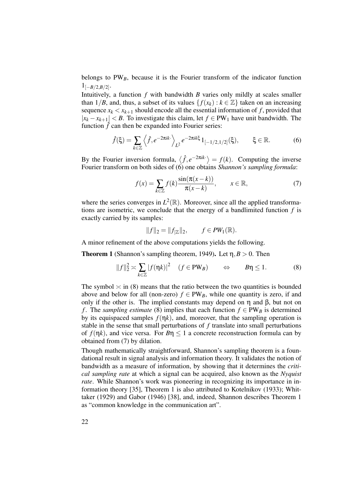belongs to  $PW_B$ , because it is the Fourier transform of the indicator function  $1_{[-B/2,B/2]}$ .

Intuitively, a function *f* with bandwidth *B* varies only mildly at scales smaller than 1/*B*, and, thus, a subset of its values  $\{f(x_k) : k \in \mathbb{Z}\}\)$  taken on an increasing sequence  $x_k < x_{k+1}$  should encode all the essential information of f, provided that  $|x_k - x_{k+1}| < B$ . To investigate this claim, let  $f \in PW_1$  have unit bandwidth. The function  $\hat{f}$  can then be expanded into Fourier series:

$$
\hat{f}(\xi) = \sum_{k \in \mathbb{Z}} \left\langle \hat{f}, e^{-2\pi i k \cdot \xi} \right\rangle_{L^2} e^{-2\pi i k \cdot \xi} 1_{[-1/2, 1/2]}(\xi), \qquad \xi \in \mathbb{R}.
$$
 (6)

By the Fourier inversion formula,  $\langle \hat{f}, e^{-2\pi i k \cdot} \rangle = f(k)$ . Computing the inverse Fourier transform on both sides of (6) one obtains *Shannon's sampling formula*:

$$
f(x) = \sum_{k \in \mathbb{Z}} f(k) \frac{\sin(\pi(x - k))}{\pi(x - k)}, \qquad x \in \mathbb{R},
$$
 (7)

where the series converges in  $L^2(\mathbb{R})$ . Moreover, since all the applied transformations are isometric, we conclude that the energy of a bandlimited function *f* is exactly carried by its samples:

$$
||f||_2 = ||f_{\mathbb{Z}}||_2, \qquad f \in PW_1(\mathbb{R}).
$$

A minor refinement of the above computations yields the following.

**Theorem 1** (Shannon's sampling theorem, 1949). Let  $\eta$ ,  $B > 0$ . Then

$$
||f||_2^2 \approx \sum_{k \in \mathbb{Z}} |f(\eta k)|^2 \quad (f \in PW_B) \qquad \Leftrightarrow \qquad B\eta \le 1. \tag{8}
$$

The symbol  $\approx$  in (8) means that the ratio between the two quantities is bounded above and below for all (non-zero)  $f \in PW_B$ , while one quantity is zero, if and only if the other is. The implied constants may depend on  $\eta$  and  $\beta$ , but not on *f*. The *sampling estimate* (8) implies that each function  $f \in PW_B$  is determined by its equispaced samples  $f(\eta k)$ , and, moreover, that the sampling operation is stable in the sense that small perturbations of *f* translate into small perturbations of  $f(\eta k)$ , and vice versa. For  $B\eta \leq 1$  a concrete reconstruction formula can by obtained from (7) by dilation.

Though mathematically straightforward, Shannon's sampling theorem is a foundational result in signal analysis and information theory. It validates the notion of bandwidth as a measure of information, by showing that it determines the *critical sampling rate* at which a signal can be acquired, also known as the *Nyquist rate*. While Shannon's work was pioneering in recognizing its importance in information theory [35], Theorem 1 is also attributed to Kotelnikov (1933); Whittaker (1929) and Gabor (1946) [38], and, indeed, Shannon describes Theorem 1 as "common knowledge in the communication art".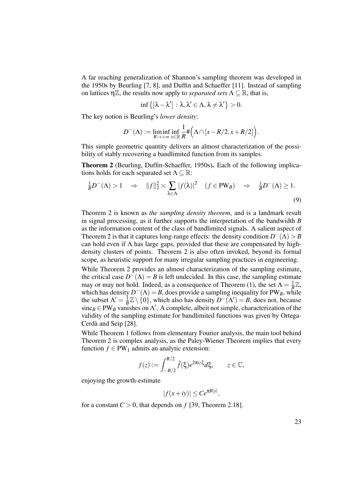A far reaching generalization of Shannon's sampling theorem was developed in the 1950s by Beurling [7, 8], and Duffin and Schaeffer [11]. Instead of sampling on lattices  $\eta \mathbb{Z}$ , the results now apply to *separated sets*  $\Lambda \subseteq \mathbb{R}$ , that is,

$$
\inf\{|\lambda-\lambda'|:\lambda,\lambda'\in\Lambda,\lambda\neq\lambda'\}>0.
$$

The key notion is Beurling's *lower density*:

$$
D^{-}(\Lambda) := \liminf_{R \to +\infty} \inf_{x \in \mathbb{R}} \frac{1}{R} \# \Big( \Lambda \cap [x - R/2, x + R/2] \Big).
$$

This simple geometric quantity delivers an almost characterization of the possibility of stably recovering a bandlimited function from its samples.

Theorem 2 (Beurling, Duffin-Schaeffer, 1950s). Each of the following implications holds for each separated set  $\Lambda \subseteq \mathbb{R}$ :

$$
\frac{1}{B}D^{-}(\Lambda) > 1 \quad \Rightarrow \quad ||f||_{2}^{2} \asymp \sum_{\lambda \in \Lambda} |f(\lambda)|^{2} \quad (f \in PW_B) \quad \Rightarrow \quad \frac{1}{B}D^{-}(\Lambda) \ge 1.
$$
\n(9)

Theorem 2 is known as *the sampling density theorem*, and is a landmark result in signal processing, as it further supports the interpretation of the bandwidth *B* as the information content of the class of bandlimited signals. A salient aspect of Theorem 2 is that it captures long-range effects: the density condition  $D^{-}(\Lambda) > B$ can hold even if  $\Lambda$  has large gaps, provided that these are compensated by highdensity clusters of points. Theorem 2 is also often invoked, beyond its formal scope, as heuristic support for many irregular sampling practices in engineering.

While Theorem 2 provides an almost characterization of the sampling estimate, the critical case  $D^{-}(\Lambda) = B$  is left undecided. In this case, the sampling estimate may or may not hold. Indeed, as a consequence of Theorem (1), the set  $\Lambda = \frac{1}{R}$  $\frac{1}{B}\mathbb{Z},$ which has density  $D^{-}(\Lambda) = B$ , does provide a sampling inequality for PW<sub>B</sub>, while the subset  $\Lambda' = \frac{1}{R}$  $\frac{1}{B} \mathbb{Z} \setminus \{0\}$ , which also has density  $D^{-}(\Lambda') = B$ , does not, because  $\text{sinc}_B \in PW_B$  vanishes on  $\Lambda'$ . A complete, albeit not simple, characterization of the validity of the sampling estimate for bandlimited functions was given by Ortega-Cerdà and Seip [28].

While Theorem 1 follows from elementary Fourier analysis, the main tool behind Theorem 2 is complex analysis, as the Paley-Wiener Theorem implies that every function  $f \in PW_1$  admits an analytic extension:

$$
f(z) := \int_{-B/2}^{B/2} \hat{f}(\xi) e^{2\pi i z \xi} d\xi, \qquad z \in \mathbb{C},
$$

enjoying the growth-estimate

$$
|f(x+iy)| \le Ce^{\pi B|y|},
$$

for a constant  $C > 0$ , that depends on  $f$  [39, Theorem 2.18].

23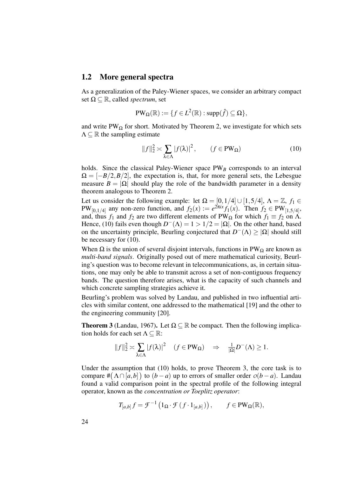## 1.2 More general spectra

As a generalization of the Paley-Wiener spaces, we consider an arbitrary compact set  $\Omega \subseteq \mathbb{R}$ , called *spectrum*, set

$$
PW_{\Omega}(\mathbb{R}) := \{ f \in L^{2}(\mathbb{R}) : \text{supp}(\hat{f}) \subseteq \Omega \},
$$

and write  $PW_{\Omega}$  for short. Motivated by Theorem 2, we investigate for which sets  $\Lambda \subseteq \mathbb{R}$  the sampling estimate

$$
||f||_2^2 \approx \sum_{\lambda \in \Lambda} |f(\lambda)|^2, \qquad (f \in PW_{\Omega})
$$
 (10)

holds. Since the classical Paley-Wiener space  $PW_B$  corresponds to an interval  $\Omega = [-B/2, B/2]$ , the expectation is, that, for more general sets, the Lebesgue measure  $B = |\Omega|$  should play the role of the bandwidth parameter in a density theorem analogous to Theorem 2.

Let us consider the following example: let  $\Omega = [0, 1/4] \cup [1, 5/4]$ ,  $\Lambda = \mathbb{Z}$ ,  $f_1 \in$  $PW_{[0,1/4]}$  any non-zero function, and  $f_2(x) := e^{2\pi ix} f_1(x)$ . Then  $f_2 \in PW_{[1,5/4]}$ , and, thus  $f_1$  and  $f_2$  are two different elements of PW<sub>Ω</sub> for which  $f_1 \equiv f_2$  on  $\Lambda$ . Hence, (10) fails even though  $D^{-}(\Lambda) = 1 > 1/2 = |\Omega|$ . On the other hand, based on the uncertainty principle, Beurling conjectured that  $D^{-}(\Lambda) \ge |\Omega|$  should still be necessary for (10).

When  $\Omega$  is the union of several disjoint intervals, functions in PW<sub> $\Omega$ </sub> are known as *multi-band signals*. Originally posed out of mere mathematical curiosity, Beurling's question was to become relevant in telecommunications, as, in certain situations, one may only be able to transmit across a set of non-contiguous frequency bands. The question therefore arises, what is the capacity of such channels and which concrete sampling strategies achieve it.

Beurling's problem was solved by Landau, and published in two influential articles with similar content, one addressed to the mathematical [19] and the other to the engineering community [20].

**Theorem 3** (Landau, 1967). Let  $\Omega \subset \mathbb{R}$  be compact. Then the following implication holds for each set  $\Lambda \subseteq \mathbb{R}$ :

$$
||f||_2^2 \approx \sum_{\lambda \in \Lambda} |f(\lambda)|^2 \quad (f \in PW_{\Omega}) \quad \Rightarrow \quad \frac{1}{|\Omega|} D^{-}(\Lambda) \ge 1.
$$

Under the assumption that (10) holds, to prove Theorem 3, the core task is to compare  $\#(\Lambda \cap [a,b])$  to  $(b-a)$  up to errors of smaller order  $o(b-a)$ . Landau found a valid comparison point in the spectral profile of the following integral operator, known as the *concentration or Toeplitz operator*:

$$
T_{[a,b]}f = \mathcal{F}^{-1}\left(1_{\Omega} \cdot \mathcal{F}\left(f \cdot 1_{[a,b]}\right)\right), \qquad f \in PW_{\Omega}(\mathbb{R}),
$$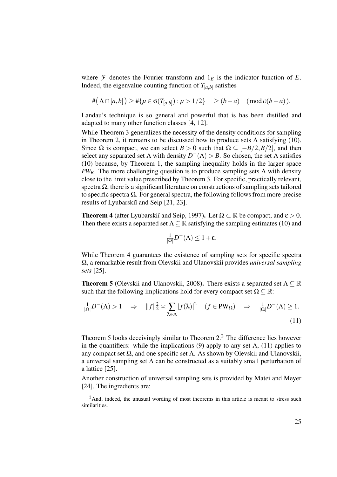where  $\mathcal F$  denotes the Fourier transform and  $1_E$  is the indicator function of  $E$ . Indeed, the eigenvalue counting function of  $T_{[a,b]}$  satisfies

$$
\#(\Lambda \cap [a,b]) \geq \#\{\mu \in \sigma(T_{[a,b]}): \mu > 1/2\} \geq (b-a) \pmod{0(b-a)}.
$$

Landau's technique is so general and powerful that is has been distilled and adapted to many other function classes [4, 12].

While Theorem 3 generalizes the necessity of the density conditions for sampling in Theorem 2, it remains to be discussed how to produce sets  $\Lambda$  satisfying (10). Since Ω is compact, we can select *B* > 0 such that  $Ω ⊆ [-B/2, B/2]$ , and then select any separated set  $\Lambda$  with density  $D^{-}(\Lambda) > B$ . So chosen, the set  $\Lambda$  satisfies (10) because, by Theorem 1, the sampling inequality holds in the larger space *PW<sub>B</sub>*. The more challenging question is to produce sampling sets  $\Lambda$  with density close to the limit value prescribed by Theorem 3. For specific, practically relevant, spectra  $\Omega$ , there is a significant literature on constructions of sampling sets tailored to specific spectra Ω. For general spectra, the following follows from more precise results of Lyubarskiı̆ and Seip [21, 23].

**Theorem 4** (after Lyubarskiı̆ and Seip, 1997). Let  $\Omega \subset \mathbb{R}$  be compact, and  $\varepsilon > 0$ . Then there exists a separated set  $\Lambda \subseteq \mathbb{R}$  satisfying the sampling estimates (10) and

$$
\frac{1}{|\Omega|}D^{-}(\Lambda)\leq 1+\epsilon.
$$

While Theorem 4 guarantees the existence of sampling sets for specific spectra Ω, a remarkable result from Olevskii and Ulanovskii provides *universal sampling sets* [25].

**Theorem 5** (Olevskii and Ulanovskii, 2008). There exists a separated set  $\Lambda \subseteq \mathbb{R}$ such that the following implications hold for every compact set  $\Omega \subseteq \mathbb{R}$ :

$$
\frac{1}{|\Omega|}D^{-}(\Lambda) > 1 \quad \Rightarrow \quad ||f||_{2}^{2} \asymp \sum_{\lambda \in \Lambda} |f(\lambda)|^{2} \quad (f \in PW_{\Omega}) \quad \Rightarrow \quad \frac{1}{|\Omega|}D^{-}(\Lambda) \ge 1.
$$
\n(11)

Theorem 5 looks deceivingly similar to Theorem  $2<sup>2</sup>$ . The difference lies however in the quantifiers: while the implications (9) apply to any set  $\Lambda$ , (11) applies to any compact set  $Ω$ , and one specific set  $Λ$ . As shown by Olevskii and Ulanovskii, a universal sampling set  $\Lambda$  can be constructed as a suitably small perturbation of a lattice [25].

Another construction of universal sampling sets is provided by Matei and Meyer [24]. The ingredients are:

 $^{2}$ And, indeed, the unusual wording of most theorems in this article is meant to stress such similarities.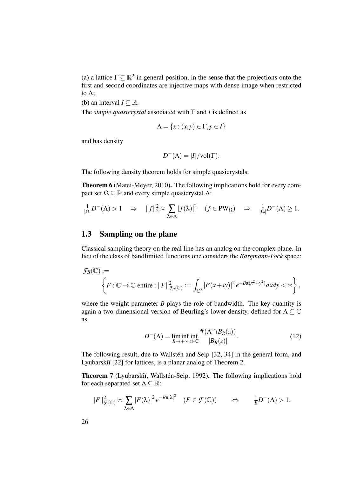(a) a lattice  $\Gamma \subseteq \mathbb{R}^2$  in general position, in the sense that the projections onto the first and second coordinates are injective maps with dense image when restricted to Λ;

(b) an interval  $I \subseteq \mathbb{R}$ .

The *simple quasicrystal* associated with Γ and *I* is defined as

$$
\Lambda = \{x : (x, y) \in \Gamma, y \in I\}
$$

and has density

$$
D^{-}(\Lambda) = |I| / \text{vol}(\Gamma).
$$

The following density theorem holds for simple quasicrystals.

Theorem 6 (Matei-Meyer, 2010). The following implications hold for every compact set  $\Omega \subset \mathbb{R}$  and every simple quasicrystal Λ:

$$
\frac{1}{|\Omega|}D^{-}(\Lambda) > 1 \quad \Rightarrow \quad ||f||_{2}^{2} \asymp \sum_{\lambda \in \Lambda} |f(\lambda)|^{2} \quad (f \in PW_{\Omega}) \quad \Rightarrow \quad \frac{1}{|\Omega|}D^{-}(\Lambda) \ge 1.
$$

## 1.3 Sampling on the plane

Classical sampling theory on the real line has an analog on the complex plane. In lieu of the class of bandlimited functions one considers the *Bargmann-Fock* space:

$$
\mathcal{F}_B(\mathbb{C}) := \left\{ F : \mathbb{C} \to \mathbb{C} \text{ entire}: ||F||_{\mathcal{F}_B(\mathbb{C})}^2 := \int_{\mathbb{C}^2} |F(x+iy)|^2 e^{-B\pi(x^2+y^2)} dx dy < \infty \right\},
$$

where the weight parameter  $B$  plays the role of bandwidth. The key quantity is again a two-dimensional version of Beurling's lower density, defined for  $\Lambda \subseteq \mathbb{C}$ as

$$
D^{-}(\Lambda) = \liminf_{R \to +\infty} \inf_{z \in \mathbb{C}} \frac{\#(\Lambda \cap B_R(z))}{|B_R(z)|}.
$$
 (12)

The following result, due to Wallstén and Seip [32, 34] in the general form, and Lyubarskiĭ [22] for lattices, is a planar analog of Theorem 2.

Theorem 7 (Lyubarskiı̆, Wallstén-Seip, 1992). The following implications hold for each separated set  $\Lambda \subseteq \mathbb{R}$ :

$$
||F||_{\mathcal{F}(\mathbb{C})}^2 \asymp \sum_{\lambda \in \Lambda} |F(\lambda)|^2 e^{-B\pi |\lambda|^2} \quad (F \in \mathcal{F}(\mathbb{C})) \qquad \Leftrightarrow \qquad \frac{1}{B} D^{-}(\Lambda) > 1.
$$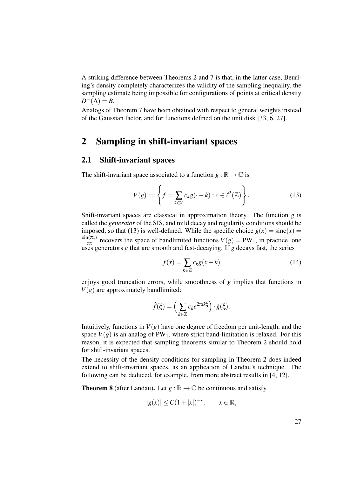A striking difference between Theorems 2 and 7 is that, in the latter case, Beurling's density completely characterizes the validity of the sampling inequality, the sampling estimate being impossible for configurations of points at critical density  $D^{-}(\Lambda) = B$ .

Analogs of Theorem 7 have been obtained with respect to general weights instead of the Gaussian factor, and for functions defined on the unit disk [33, 6, 27].

# 2 Sampling in shift-invariant spaces

## 2.1 Shift-invariant spaces

The shift-invariant space associated to a function  $g : \mathbb{R} \to \mathbb{C}$  is

$$
V(g) := \left\{ f = \sum_{k \in \mathbb{Z}} c_k g(\cdot - k) : c \in \ell^2(\mathbb{Z}) \right\}.
$$
 (13)

Shift-invariant spaces are classical in approximation theory. The function *g* is called the *generator* of the SIS, and mild decay and regularity conditions should be imposed, so that (13) is well-defined. While the specific choice  $g(x) = \text{sinc}(x) =$  $sin(\pi x)$  $\frac{n(x)}{n x}$  recovers the space of bandlimited functions  $V(g) = PW_1$ , in practice, one uses generators *g* that are smooth and fast-decaying. If *g* decays fast, the series

$$
f(x) = \sum_{k \in \mathbb{Z}} c_k g(x - k)
$$
 (14)

enjoys good truncation errors, while smoothness of *g* implies that functions in  $V(g)$  are approximately bandlimited:

$$
\hat{f}(\xi) = \left(\sum_{k \in \mathbb{Z}} c_k e^{2\pi i k \xi}\right) \cdot \hat{g}(\xi).
$$

Intuitively, functions in  $V(g)$  have one degree of freedom per unit-length, and the space  $V(g)$  is an analog of PW<sub>1</sub>, where strict band-limitation is relaxed. For this reason, it is expected that sampling theorems similar to Theorem 2 should hold for shift-invariant spaces.

The necessity of the density conditions for sampling in Theorem 2 does indeed extend to shift-invariant spaces, as an application of Landau's technique. The following can be deduced, for example, from more abstract results in [4, 12].

**Theorem 8** (after Landau). Let  $g : \mathbb{R} \to \mathbb{C}$  be continuous and satisfy

$$
|g(x)| \le C(1+|x|)^{-s}, \qquad x \in \mathbb{R},
$$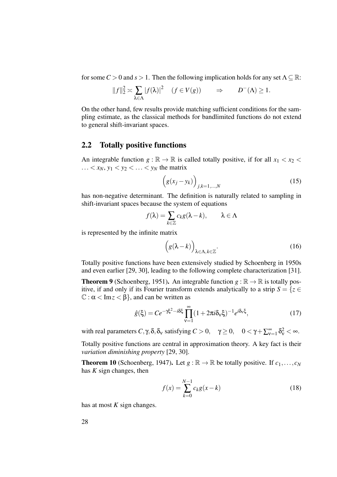for some  $C > 0$  and  $s > 1$ . Then the following implication holds for any set  $\Lambda \subseteq \mathbb{R}$ :

$$
||f||_2^2 \approx \sum_{\lambda \in \Lambda} |f(\lambda)|^2 \quad (f \in V(g)) \qquad \Rightarrow \qquad D^-(\Lambda) \ge 1.
$$

On the other hand, few results provide matching sufficient conditions for the sampling estimate, as the classical methods for bandlimited functions do not extend to general shift-invariant spaces.

## 2.2 Totally positive functions

An integrable function  $g : \mathbb{R} \to \mathbb{R}$  is called totally positive, if for all  $x_1 < x_2 <$  $\ldots$  <  $x_N$ ,  $y_1$  <  $y_2$  <  $\ldots$  <  $y_N$  the matrix

$$
\left(g(x_j - y_k)\right)_{j,k=1,\dots,N} \tag{15}
$$

has non-negative determinant. The definition is naturally related to sampling in shift-invariant spaces because the system of equations

$$
f(\lambda) = \sum_{k \in \mathbb{Z}} c_k g(\lambda - k), \qquad \lambda \in \Lambda
$$

is represented by the infinite matrix

$$
\left(g(\lambda - k)\right)_{\lambda \in \Lambda, k \in \mathbb{Z}}.\tag{16}
$$

Totally positive functions have been extensively studied by Schoenberg in 1950s and even earlier [29, 30], leading to the following complete characterization [31].

**Theorem 9** (Schoenberg, 1951). An integrable function  $g : \mathbb{R} \to \mathbb{R}$  is totally positive, if and only if its Fourier transform extends analytically to a strip  $S = \{z \in$  $\mathbb{C} : \alpha < \text{Im} z < \beta$ , and can be written as

$$
\hat{g}(\xi) = Ce^{-\gamma\xi^2 - i\delta\xi} \prod_{\nu=1}^{\infty} (1 + 2\pi i \delta_{\nu}\xi)^{-1} e^{i\delta_{\nu}\xi},\tag{17}
$$

with real parameters  $C, \gamma, \delta, \delta_v$  satisfying  $C > 0$ ,  $\gamma \ge 0$ ,  $0 < \gamma + \sum_{v=1}^{\infty} \delta_v^2 < \infty$ .

Totally positive functions are central in approximation theory. A key fact is their *variation diminishing property* [29, 30].

**Theorem 10** (Schoenberg, 1947). Let  $g : \mathbb{R} \to \mathbb{R}$  be totally positive. If  $c_1, \ldots, c_N$ has *K* sign changes, then

$$
f(x) = \sum_{k=0}^{N-1} c_k g(x - k)
$$
 (18)

has at most *K* sign changes.

28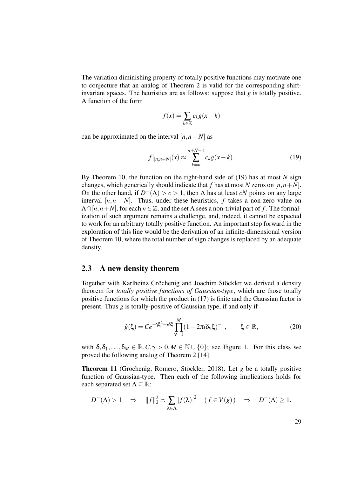The variation diminishing property of totally positive functions may motivate one to conjecture that an analog of Theorem 2 is valid for the corresponding shiftinvariant spaces. The heuristics are as follows: suppose that  $g$  is totally positive. A function of the form

$$
f(x) = \sum_{k \in \mathbb{Z}} c_k g(x - k)
$$

can be approximated on the interval  $[n, n+N]$  as

$$
f|_{[n,n+N]}(x) \approx \sum_{k=n}^{n+N-1} c_k g(x-k).
$$
 (19)

By Theorem 10, the function on the right-hand side of (19) has at most *N* sign changes, which generically should indicate that *f* has at most *N* zeros on  $[n, n+N]$ . On the other hand, if  $D^{-}(\Lambda) > c > 1$ , then  $\Lambda$  has at least *cN* points on any large interval  $[n, n + N]$ . Thus, under these heuristics, f takes a non-zero value on  $\Lambda \cap [n, n+N]$ , for each  $n \in \mathbb{Z}$ , and the set  $\Lambda$  sees a non-trivial part of f. The formalization of such argument remains a challenge, and, indeed, it cannot be expected to work for an arbitrary totally positive function. An important step forward in the exploration of this line would be the derivation of an infinite-dimensional version of Theorem 10, where the total number of sign changes is replaced by an adequate density.

#### 2.3 A new density theorem

Together with Karlheinz Gröchenig and Joachim Stöckler we derived a density theorem for *totally positive functions of Gaussian-type*, which are those totally positive functions for which the product in (17) is finite and the Gaussian factor is present. Thus *g* is totally-positive of Gaussian type, if and only if

$$
\hat{g}(\xi) = Ce^{-\gamma\xi^2 - i\delta\xi} \prod_{\nu=1}^{M} (1 + 2\pi i \delta_{\nu}\xi)^{-1}, \qquad \xi \in \mathbb{R},
$$
\n(20)

with  $\delta, \delta_1, \ldots, \delta_M \in \mathbb{R}, C, \gamma > 0, M \in \mathbb{N} \cup \{0\}$ ; see Figure 1. For this class we proved the following analog of Theorem 2 [14].

Theorem 11 (Gröchenig, Romero, Stöckler, 2018). Let *g* be a totally positive function of Gaussian-type. Then each of the following implications holds for each separated set  $\Lambda \subseteq \mathbb{R}$ :

$$
D^{-}(\Lambda) > 1 \quad \Rightarrow \quad ||f||_{2}^{2} \asymp \sum_{\lambda \in \Lambda} |f(\lambda)|^{2} \quad (f \in V(g)) \quad \Rightarrow \quad D^{-}(\Lambda) \ge 1.
$$

29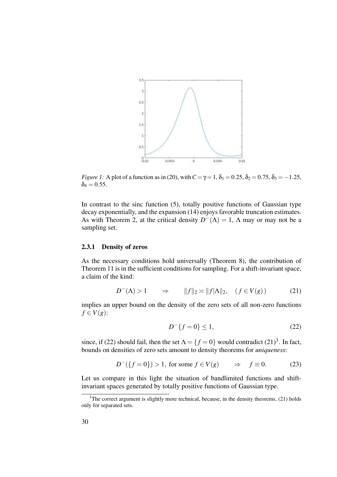

*Figure 1:* A plot of a function as in (20), with  $C = \gamma = 1$ ,  $\delta_1 = 0.25$ ,  $\delta_2 = 0.75$ ,  $\delta_3 = -1.25$ ,  $\delta_4 = 0.55$ .

In contrast to the sinc function (5), totally positive functions of Gaussian type decay exponentially, and the expansion (14) enjoys favorable truncation estimates. As with Theorem 2, at the critical density  $D^{-}(\Lambda) = 1$ ,  $\Lambda$  may or may not be a sampling set.

#### 2.3.1 Density of zeros

As the necessary conditions hold universally (Theorem 8), the contribution of Theorem 11 is in the sufficient conditions for sampling. For a shift-invariant space, a claim of the kind:

$$
D^{-}(\Lambda) > 1 \qquad \Rightarrow \qquad \|f\|_{2} \asymp \|f|\Lambda\|_{2}, \quad (f \in V(g)) \tag{21}
$$

implies an upper bound on the density of the zero sets of all non-zero functions  $f \in V(g)$ :

$$
D^{-}\{f=0\} \le 1,\t\t(22)
$$

since, if (22) should fail, then the set  $\Lambda = \{f = 0\}$  would contradict (21)<sup>3</sup>. In fact, bounds on densities of zero sets amount to density theorems for *uniqueness*:

$$
D^{-}(\lbrace f=0\rbrace) > 1, \text{ for some } f \in V(g) \qquad \Rightarrow \quad f \equiv 0. \tag{23}
$$

Let us compare in this light the situation of bandlimited functions and shiftinvariant spaces generated by totally positive functions of Gaussian type.

 $3$ The correct argument is slightly more technical, because, in the density theorems, (21) holds only for separated sets.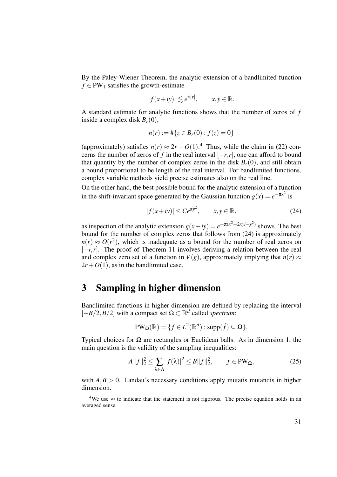By the Paley-Wiener Theorem, the analytic extension of a bandlimited function  $f \in PW_1$  satisfies the growth-estimate

$$
|f(x+iy)| \lesssim e^{\pi |y|}, \qquad x, y \in \mathbb{R}.
$$

A standard estimate for analytic functions shows that the number of zeros of *f* inside a complex disk  $B_r(0)$ ,

$$
n(r) := #\{z \in B_r(0) : f(z) = 0\}
$$

(approximately) satisfies  $n(r) \approx 2r + O(1)$ .<sup>4</sup> Thus, while the claim in (22) concerns the number of zeros of *f* in the real interval  $[-r, r]$ , one can afford to bound that quantity by the number of complex zeros in the disk  $B_r(0)$ , and still obtain a bound proportional to be length of the real interval. For bandlimited functions, complex variable methods yield precise estimates also on the real line.

On the other hand, the best possible bound for the analytic extension of a function in the shift-invariant space generated by the Gaussian function  $g(x) = e^{-\pi x^2}$  is

$$
|f(x+iy)| \le Ce^{\pi y^2}, \qquad x, y \in \mathbb{R},
$$
 (24)

as inspection of the analytic extension  $g(x+iy) = e^{-\pi(x^2+2xyi-y^2)}$  shows. The best bound for the number of complex zeros that follows from (24) is approximately  $n(r) \approx O(r^2)$ , which is inadequate as a bound for the number of real zeros on [−*r*,*r*]. The proof of Theorem 11 involves deriving a relation between the real and complex zero set of a function in  $V(g)$ , approximately implying that  $n(r) \approx$  $2r + O(1)$ , as in the bandlimited case.

# 3 Sampling in higher dimension

Bandlimited functions in higher dimension are defined by replacing the interval  $[-B/2, B/2]$  with a compact set Ω ⊂  $\mathbb{R}^d$  called *spectrum*:

$$
PW_{\Omega}(\mathbb{R})=\{f\in L^2(\mathbb{R}^d): \text{supp}(\hat{f})\subseteq \Omega\}.
$$

Typical choices for  $\Omega$  are rectangles or Euclidean balls. As in dimension 1, the main question is the validity of the sampling inequalities:

$$
A||f||_2^2 \le \sum_{\lambda \in \Lambda} |f(\lambda)|^2 \le B||f||_2^2, \qquad f \in PW_\Omega,
$$
\n(25)

with  $A, B > 0$ . Landau's necessary conditions apply mutatis mutandis in higher dimension.

<sup>&</sup>lt;sup>4</sup>We use  $\approx$  to indicate that the statement is not rigorous. The precise equation holds in an averaged sense.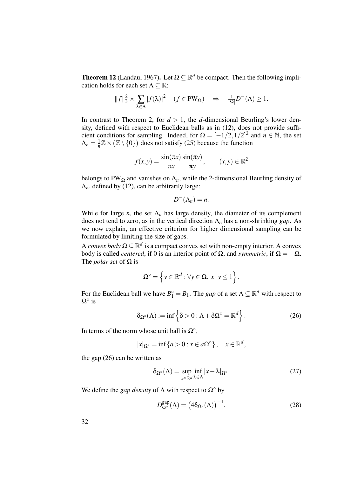**Theorem 12** (Landau, 1967). Let  $\Omega \subseteq \mathbb{R}^d$  be compact. Then the following implication holds for each set  $\Lambda \subseteq \mathbb{R}$ :

$$
||f||_2^2 \approx \sum_{\lambda \in \Lambda} |f(\lambda)|^2 \quad (f \in PW_{\Omega}) \quad \Rightarrow \quad \frac{1}{|\Omega|} D^{-}(\Lambda) \ge 1.
$$

In contrast to Theorem 2, for  $d > 1$ , the *d*-dimensional Beurling's lower density, defined with respect to Euclidean balls as in (12), does not provide sufficient conditions for sampling. Indeed, for  $\Omega = [-1/2, 1/2]^2$  and  $n \in \mathbb{N}$ , the set  $\Lambda_n = \frac{1}{n}$  $\frac{1}{n}\mathbb{Z}\times(\mathbb{Z}\setminus\{0\})$  does not satisfy (25) because the function

$$
f(x,y) = \frac{\sin(\pi x)}{\pi x} \frac{\sin(\pi y)}{\pi y}, \qquad (x,y) \in \mathbb{R}^2
$$

belongs to PW<sub>Ω</sub> and vanishes on  $\Lambda_n$ , while the 2-dimensional Beurling density of  $\Lambda_n$ , defined by (12), can be arbitrarily large:

$$
D^{-}(\Lambda_n)=n.
$$

While for large *n*, the set  $\Lambda_n$  has large density, the diameter of its complement does not tend to zero, as in the vertical direction Λ*<sup>n</sup>* has a non-shrinking *gap*. As we now explain, an effective criterion for higher dimensional sampling can be formulated by limiting the size of gaps.

A *convex body*  $\Omega \subseteq \mathbb{R}^d$  is a compact convex set with non-empty interior. A convex body is called *centered*, if 0 is an interior point of  $\Omega$ , and *symmetric*, if  $\Omega = -\Omega$ . The *polar set* of  $\Omega$  is

$$
\Omega^{\circ} = \left\{ y \in \mathbb{R}^d : \forall y \in \Omega, \, x \cdot y \le 1 \right\}.
$$

For the Euclidean ball we have  $B_1^\circ = B_1$ . The *gap* of a set  $\Lambda \subseteq \mathbb{R}^d$  with respect to  $\Omega^\circ$  is

$$
\delta_{\Omega^{\circ}}(\Lambda) := \inf \left\{ \delta > 0 : \Lambda + \delta \Omega^{\circ} = \mathbb{R}^d \right\}.
$$
 (26)

In terms of the norm whose unit ball is  $\Omega^{\circ}$ ,

$$
|x|_{\Omega^\circ} = \inf\{a > 0 : x \in a\Omega^\circ\}, \quad x \in \mathbb{R}^d,
$$

the gap (26) can be written as

$$
\delta_{\Omega^{\circ}}(\Lambda) = \sup_{x \in \mathbb{R}^d} \inf_{\lambda \in \Lambda} |x - \lambda|_{\Omega^{\circ}}.
$$
 (27)

We define the *gap density* of  $\Lambda$  with respect to  $\Omega^{\circ}$  by

$$
D_{\Omega^{\circ}}^{\text{gap}}(\Lambda) = (4\delta_{\Omega^{\circ}}(\Lambda))^{-1}.
$$
 (28)

32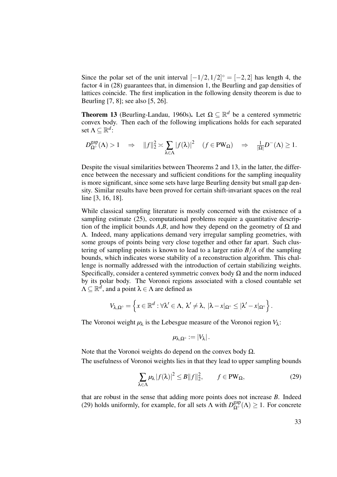Since the polar set of the unit interval  $[-1/2, 1/2]$ <sup>°</sup> =  $[-2, 2]$  has length 4, the factor 4 in (28) guarantees that, in dimension 1, the Beurling and gap densities of lattices coincide. The first implication in the following density theorem is due to Beurling [7, 8]; see also [5, 26].

**Theorem 13** (Beurling-Landau, 1960s). Let  $\Omega \subseteq \mathbb{R}^d$  be a centered symmetric convex body. Then each of the following implications holds for each separated set  $\Lambda \subseteq \mathbb{R}^d$ :

$$
D_{\Omega^{\circ}}^{\text{gap}}(\Lambda) > 1 \quad \Rightarrow \quad ||f||_2^2 \asymp \sum_{\lambda \in \Lambda} |f(\lambda)|^2 \quad (f \in PW_\Omega) \quad \Rightarrow \quad \frac{1}{|\Omega|} D^-(\Lambda) \ge 1.
$$

Despite the visual similarities between Theorems 2 and 13, in the latter, the difference between the necessary and sufficient conditions for the sampling inequality is more significant, since some sets have large Beurling density but small gap density. Similar results have been proved for certain shift-invariant spaces on the real line [3, 16, 18].

While classical sampling literature is mostly concerned with the existence of a sampling estimate (25), computational problems require a quantitative description of the implicit bounds  $A,B$ , and how they depend on the geometry of  $\Omega$  and Λ. Indeed, many applications demand very irregular sampling geometries, with some groups of points being very close together and other far apart. Such clustering of sampling points is known to lead to a larger ratio  $B/A$  of the sampling bounds, which indicates worse stability of a reconstruction algorithm. This challenge is normally addressed with the introduction of certain stabilizing weights. Specifically, consider a centered symmetric convex body  $\Omega$  and the norm induced by its polar body. The Voronoi regions associated with a closed countable set  $\Lambda \subseteq \mathbb{R}^d$ , and a point  $\lambda \in \Lambda$  are defined as

$$
V_{\lambda,\Omega^{\circ}}=\left\{x\in\mathbb{R}^d:\forall \lambda'\in\Lambda,\ \lambda'\neq\lambda,\ |\lambda-x|_{\Omega^{\circ}}\leq|\lambda'-x|_{\Omega^{\circ}}\right\}.
$$

The Voronoi weight  $\mu_{\lambda}$  is the Lebesgue measure of the Voronoi region  $V_{\lambda}$ :

$$
\mu_{\lambda,\Omega^{\circ}}:=|V_{\lambda}|.
$$

Note that the Voronoi weights do depend on the convex body  $Ω$ . The usefulness of Voronoi weights lies in that they lead to upper sampling bounds

$$
\sum_{\lambda \in \Lambda} \mu_{\lambda} |f(\lambda)|^2 \le B \|f\|_2^2, \qquad f \in PW_{\Omega}, \tag{29}
$$

that are robust in the sense that adding more points does not increase *B*. Indeed (29) holds uniformly, for example, for all sets  $\Lambda$  with  $D_{\Omega^{\circ}}^{gap}(\Lambda) \geq 1$ . For concrete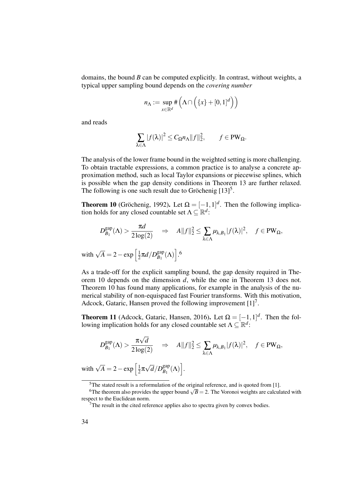domains, the bound *B* can be computed explicitly. In contrast, without weights, a typical upper sampling bound depends on the *covering number*

$$
n_{\Lambda} := \sup_{x \in \mathbb{R}^d} \# \left( \Lambda \cap \left( \{x\} + [0,1]^d \right) \right)
$$

and reads

$$
\sum_{\lambda \in \Lambda} |f(\lambda)|^2 \leq C_{\Omega} n_{\Lambda} ||f||_2^2, \qquad f \in PW_{\Omega}.
$$

The analysis of the lower frame bound in the weighted setting is more challenging. To obtain tractable expressions, a common practice is to analyse a concrete approximation method, such as local Taylor expansions or piecewise splines, which is possible when the gap density conditions in Theorem 13 are further relaxed. The following is one such result due to Gröchenig [13]<sup>5</sup>.

**Theorem 10** (Gröchenig, 1992). Let  $\Omega = [-1, 1]^d$ . Then the following implication holds for any closed countable set  $\Lambda \subseteq \mathbb{R}^d$ :

$$
D_{B_1}^{\text{gap}}(\Lambda) > \frac{\pi d}{2 \log(2)} \quad \Rightarrow \quad A \|f\|_2^2 \le \sum_{\lambda \in \Lambda} \mu_{\lambda, B_1} |f(\lambda)|^2, \quad f \in \text{PW}_{\Omega},
$$
  
with  $\sqrt{A} = 2 - \exp \left[\frac{1}{2} \pi d / D_{B_1}^{\text{gap}}(\Lambda)\right].6$ 

As a trade-off for the explicit sampling bound, the gap density required in Theorem 10 depends on the dimension *d*, while the one in Theorem 13 does not. Theorem 10 has found many applications, for example in the analysis of the numerical stability of non-equispaced fast Fourier transforms. With this motivation, Adcock, Gataric, Hansen proved the following improvement [1]<sup>7</sup>.

**Theorem 11** (Adcock, Gataric, Hansen, 2016). Let  $\Omega = [-1, 1]^d$ . Then the following implication holds for any closed countable set  $\Lambda \subseteq \mathbb{R}^d$ :

$$
D_{B_1}^{\text{gap}}(\Lambda) > \frac{\pi \sqrt{d}}{2 \log(2)} \quad \Rightarrow \quad A \|f\|_2^2 \leq \sum_{\lambda \in \Lambda} \mu_{\lambda, B_1} |f(\lambda)|^2, \quad f \in \text{PW}_{\Omega},
$$

with  $\sqrt{A} = 2 - \exp\left[\frac{1}{2}\right]$  $\frac{1}{2} \pi \sqrt{d}/D_{B_1}^{\text{gap}}$  $\begin{bmatrix} \text{gap}\\ B_1 \end{bmatrix}$ (Λ)  $\bigg].$ 

 $5$ The stated result is a reformulation of the original reference, and is quoted from [1].

<sup>&</sup>lt;sup>6</sup>The theorem also provides the upper bound  $\sqrt{B} = 2$ . The Voronoi weights are calculated with respect to the Euclidean norm.

 $7$ The result in the cited reference applies also to spectra given by convex bodies.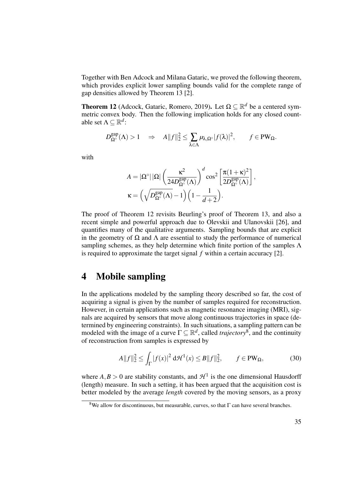Together with Ben Adcock and Milana Gataric, we proved the following theorem, which provides explicit lower sampling bounds valid for the complete range of gap densities allowed by Theorem 13 [2].

**Theorem 12** (Adcock, Gataric, Romero, 2019). Let  $\Omega \subseteq \mathbb{R}^d$  be a centered symmetric convex body. Then the following implication holds for any closed countable set  $\Lambda \subseteq \mathbb{R}^d$ :

$$
D_{\Omega^{\circ}}^{\text{gap}}(\Lambda) > 1 \quad \Rightarrow \quad A\|f\|_2^2 \leq \sum_{\lambda \in \Lambda} \mu_{\lambda, \Omega^{\circ}} |f(\lambda)|^2, \qquad f \in \text{PW}_{\Omega}.
$$

with

$$
\begin{split} A &= |\Omega^\circ| \, |\Omega| \left( \frac{\kappa^2}{24 D_{\Omega^\circ}^{\rm gap}(\Lambda)} \right)^d \cos^2 \left[ \frac{\pi (1+\kappa)^2}{2 D_{\Omega^\circ}^{\rm gap}(\Lambda)} \right], \\ \kappa &= \left( \sqrt{D_{\Omega^\circ}^{\rm gap}(\Lambda)} - 1 \right) \left( 1 - \frac{1}{d+2} \right). \end{split}
$$

The proof of Theorem 12 revisits Beurling's proof of Theorem 13, and also a recent simple and powerful approach due to Olevskii and Ulanovskii [26], and quantifies many of the qualitative arguments. Sampling bounds that are explicit in the geometry of  $\Omega$  and  $\Lambda$  are essential to study the performance of numerical sampling schemes, as they help determine which finite portion of the samples  $\Lambda$ is required to approximate the target signal *f* within a certain accuracy [2].

# 4 Mobile sampling

In the applications modeled by the sampling theory described so far, the cost of acquiring a signal is given by the number of samples required for reconstruction. However, in certain applications such as magnetic resonance imaging (MRI), signals are acquired by sensors that move along continuous trajectories in space (determined by engineering constraints). In such situations, a sampling pattern can be modeled with the image of a curve  $\Gamma \subseteq \mathbb{R}^d$ , called *trajectory*<sup>8</sup>, and the continuity of reconstruction from samples is expressed by

$$
A||f||_2^2 \le \int_{\Gamma} |f(x)|^2 \, d\mathcal{H}^1(x) \le B||f||_2^2, \qquad f \in PW_\Omega,\tag{30}
$$

where  $A, B > 0$  are stability constants, and  $\mathcal{H}^1$  is the one dimensional Hausdorff (length) measure. In such a setting, it has been argued that the acquisition cost is better modeled by the average *length* covered by the moving sensors, as a proxy

<sup>&</sup>lt;sup>8</sup>We allow for discontinuous, but measurable, curves, so that  $\Gamma$  can have several branches.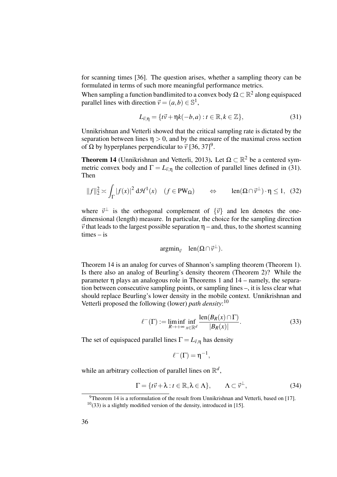for scanning times [36]. The question arises, whether a sampling theory can be formulated in terms of such more meaningful performance metrics.

When sampling a function bandlimited to a convex body  $\Omega \subset \mathbb{R}^2$  along equispaced parallel lines with direction  $\vec{v} = (a,b) \in \mathbb{S}^1$ ,

$$
L_{\vec{v},\eta} = \{t\vec{v} + \eta k(-b,a) : t \in \mathbb{R}, k \in \mathbb{Z}\},\tag{31}
$$

Unnikrishnan and Vetterli showed that the critical sampling rate is dictated by the separation between lines  $\eta > 0$ , and by the measure of the maximal cross section of Ω by hyperplanes perpendicular to  $\vec{v}$  [36, 37]<sup>9</sup>.

**Theorem 14** (Unnikrishnan and Vetterli, 2013). Let  $\Omega \subset \mathbb{R}^2$  be a centered symmetric convex body and  $\Gamma = L_{\vec{v},\eta}$  the collection of parallel lines defined in (31). Then

$$
||f||_2^2 \asymp \int_{\Gamma} |f(x)|^2 \, d\mathcal{H}^1(x) \quad (f \in PW_\Omega) \qquad \Leftrightarrow \qquad \text{len}(\Omega \cap \vec{v}^\perp) \cdot \eta \le 1, \tag{32}
$$

where  $\vec{v}^{\perp}$  is the orthogonal complement of  $\{\vec{v}\}\$  and len denotes the onedimensional (length) measure. In particular, the choice for the sampling direction  $\vec{v}$  that leads to the largest possible separation  $\eta$  – and, thus, to the shortest scanning times – is

$$
\operatorname{argmin}_{\vec{v}} \quad \operatorname{len}(\Omega \cap \vec{v}^{\perp}).
$$

Theorem 14 is an analog for curves of Shannon's sampling theorem (Theorem 1). Is there also an analog of Beurling's density theorem (Theorem 2)? While the parameter η plays an analogous role in Theorems 1 and 14 – namely, the separation between consecutive sampling points, or sampling lines –, it is less clear what should replace Beurling's lower density in the mobile context. Unnikrishnan and Vetterli proposed the following (lower) *path density*: 10

$$
\ell^{-}(\Gamma) := \liminf_{R \to +\infty} \inf_{x \in \mathbb{R}^d} \frac{\text{len}(B_R(x) \cap \Gamma)}{|B_R(x)|}.
$$
 (33)

The set of equispaced parallel lines  $\Gamma = L_{\vec{v},\eta}$  has density

$$
\ell^-(\Gamma)=\eta^{-1},
$$

while an arbitrary collection of parallel lines on  $\mathbb{R}^d$ ,

$$
\Gamma = \{t\vec{v} + \lambda : t \in \mathbb{R}, \lambda \in \Lambda\}, \qquad \Lambda \subset \vec{v}^{\perp}, \tag{34}
$$

 $9$ Theorem 14 is a reformulation of the result from Unnikrishnan and Vetterli, based on [17].

 $10(33)$  is a slightly modified version of the density, introduced in [15].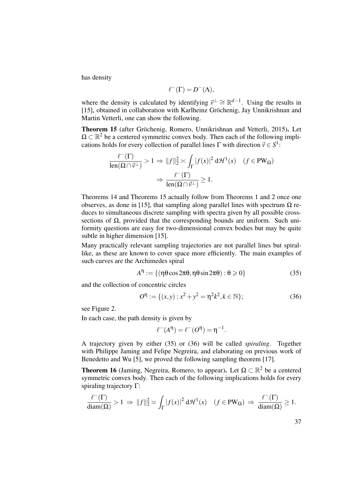has density

$$
\ell^-(\Gamma) = D^-(\Lambda),
$$

where the density is calculated by identifying  $\vec{v}^{\perp} \cong \mathbb{R}^{d-1}$ . Using the results in [15], obtained in collaboration with Karlheinz Gröchenig, Jay Unnikrishnan and Martin Vetterli, one can show the following.

Theorem 15 (after Gröchenig, Romero, Unnikrishnan and Vetterli, 2015). Let  $\Omega \subset \mathbb{R}^2$  be a centered symmetric convex body. Then each of the following implications holds for every collection of parallel lines  $\Gamma$  with direction  $\vec{v} \in S^1$ :

$$
\frac{\ell^{-}(\Gamma)}{\operatorname{len}(\Omega \cap \vec{v}^{\perp})} > 1 \Rightarrow ||f||_{2}^{2} \asymp \int_{\Gamma} |f(x)|^{2} d\mathcal{H}^{1}(x) \quad (f \in PW_{\Omega})
$$

$$
\Rightarrow \frac{\ell^{-}(\Gamma)}{\operatorname{len}(\Omega \cap \vec{v}^{\perp})} \ge 1.
$$

Theorems 14 and Theorems 15 actually follow from Theorems 1 and 2 once one observes, as done in [15], that sampling along parallel lines with spectrum  $\Omega$  reduces to simultaneous discrete sampling with spectra given by all possible crosssections of  $\Omega$ , provided that the corresponding bounds are uniform. Such uniformity questions are easy for two-dimensional convex bodies but may be quite subtle in higher dimension [15].

Many practically relevant sampling trajectories are not parallel lines but spirallike, as these are known to cover space more efficiently. The main examples of such curves are the Archimedes spiral

$$
A^{\eta} := \{ (\eta \theta \cos 2\pi \theta, \eta \theta \sin 2\pi \theta) : \theta \geqslant 0 \}
$$
 (35)

and the collection of concentric circles

$$
O^{\eta} := \{ (x, y) : x^2 + y^2 = \eta^2 k^2, k \in \mathbb{N} \};
$$
\n(36)

see Figure 2.

In each case, the path density is given by

$$
\ell^-(A^{\eta})=\ell^-(O^{\eta})=\eta^{-1}.
$$

A trajectory given by either (35) or (36) will be called *spiraling*. Together with Philippe Jaming and Felipe Negreira, and elaborating on previous work of Benedetto and Wu [5], we proved the following sampling theorem [17].

**Theorem 16** (Jaming, Negreira, Romero, to appear). Let  $\Omega \subset \mathbb{R}^2$  be a centered symmetric convex body. Then each of the following implications holds for every spiraling trajectory Γ:

$$
\frac{\ell^-(\Gamma)}{\text{diam}(\Omega)} > 1 \implies ||f||_2^2 \asymp \int_{\Gamma} |f(x)|^2 \, d\mathcal{H}^1(x) \quad (f \in PW_\Omega) \implies \frac{\ell^-(\Gamma)}{\text{diam}(\Omega)} \ge 1.
$$

37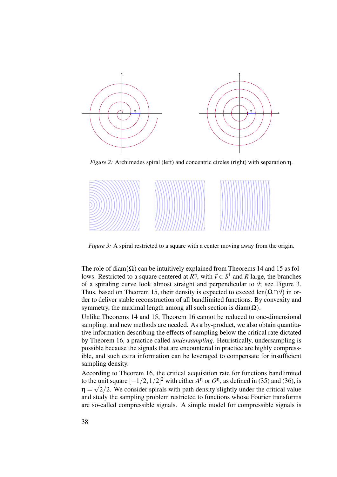

*Figure 2:* Archimedes spiral (left) and concentric circles (right) with separation η.



*Figure 3:* A spiral restricted to a square with a center moving away from the origin.

The role of diam( $\Omega$ ) can be intuitively explained from Theorems 14 and 15 as follows. Restricted to a square centered at  $R\vec{v}$ , with  $\vec{v} \in S^1$  and R large, the branches of a spiraling curve look almost straight and perpendicular to  $\vec{v}$ ; see Figure 3. Thus, based on Theorem 15, their density is expected to exceed len( $\Omega \cap \vec{v}$ ) in order to deliver stable reconstruction of all bandlimited functions. By convexity and symmetry, the maximal length among all such section is diam( $\Omega$ ).

Unlike Theorems 14 and 15, Theorem 16 cannot be reduced to one-dimensional sampling, and new methods are needed. As a by-product, we also obtain quantitative information describing the effects of sampling below the critical rate dictated by Theorem 16, a practice called *undersampling*. Heuristically, undersampling is possible because the signals that are encountered in practice are highly compressible, and such extra information can be leveraged to compensate for insufficient sampling density.

According to Theorem 16, the critical acquisition rate for functions bandlimited to the unit square  $[-1/2,1/2]^2$  with either  $A^{\eta}$  or  $O^{\eta}$ , as defined in (35) and (36), is  $\eta = \sqrt{2}/2$ . We consider spirals with path density slightly under the critical value and study the sampling problem restricted to functions whose Fourier transforms are so-called compressible signals. A simple model for compressible signals is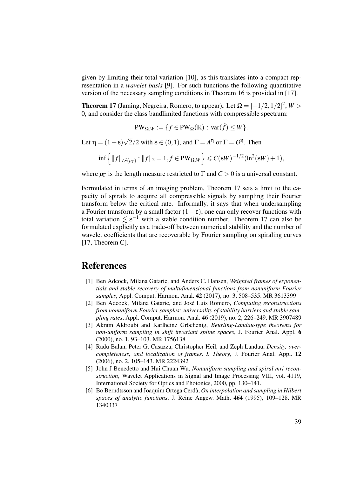given by limiting their total variation [10], as this translates into a compact representation in a *wavelet basis* [9]. For such functions the following quantitative version of the necessary sampling conditions in Theorem 16 is provided in [17].

**Theorem 17** (Jaming, Negreira, Romero, to appear). Let  $\Omega = [-1/2, 1/2]^2$ ,  $W >$ 0, and consider the class bandlimited functions with compressible spectrum:

$$
\text{PW}_{\Omega,W} := \{ f \in \text{PW}_{\Omega}(\mathbb{R}) : \text{var}(\hat{f}) \leq W \}.
$$

Let  $\eta = (1 + \varepsilon)\sqrt{2}/2$  with  $\varepsilon \in (0, 1)$ , and  $\Gamma = A^{\eta}$  or  $\Gamma = O^{\eta}$ . Then

$$
\inf\left\{\|f\|_{L^2(\mu_\Gamma)}:\|f\|_2=1,f\in PW_{\Omega,W}\right\}\leqslant C(\varepsilon W)^{-1/2}(\ln^2(\varepsilon W)+1),
$$

where  $\mu_{\Gamma}$  is the length measure restricted to  $\Gamma$  and  $C > 0$  is a universal constant.

Formulated in terms of an imaging problem, Theorem 17 sets a limit to the capacity of spirals to acquire all compressible signals by sampling their Fourier transform below the critical rate. Informally, it says that when undersampling a Fourier transform by a small factor  $(1 - \varepsilon)$ , one can only recover functions with total variation  $\leq \varepsilon^{-1}$  with a stable condition number. Theorem 17 can also be formulated explicitly as a trade-off between numerical stability and the number of wavelet coefficients that are recoverable by Fourier sampling on spiraling curves [17, Theorem C].

# References

- [1] Ben Adcock, Milana Gataric, and Anders C. Hansen, *Weighted frames of exponentials and stable recovery of multidimensional functions from nonuniform Fourier samples*, Appl. Comput. Harmon. Anal. 42 (2017), no. 3, 508–535. MR 3613399
- [2] Ben Adcock, Milana Gataric, and José Luis Romero, *Computing reconstructions from nonuniform Fourier samples: universality of stability barriers and stable sampling rates*, Appl. Comput. Harmon. Anal. 46 (2019), no. 2, 226–249. MR 3907489
- [3] Akram Aldroubi and Karlheinz Gröchenig, *Beurling-Landau-type theorems for non-uniform sampling in shift invariant spline spaces*, J. Fourier Anal. Appl. 6 (2000), no. 1, 93–103. MR 1756138
- [4] Radu Balan, Peter G. Casazza, Christopher Heil, and Zeph Landau, *Density, overcompleteness, and localization of frames. I. Theory*, J. Fourier Anal. Appl. 12 (2006), no. 2, 105–143. MR 2224392
- [5] John J Benedetto and Hui Chuan Wu, *Nonuniform sampling and spiral mri reconstruction*, Wavelet Applications in Signal and Image Processing VIII, vol. 4119, International Society for Optics and Photonics, 2000, pp. 130–141.
- [6] Bo Berndtsson and Joaquim Ortega Cerdà, *On interpolation and sampling in Hilbert spaces of analytic functions*, J. Reine Angew. Math. 464 (1995), 109–128. MR 1340337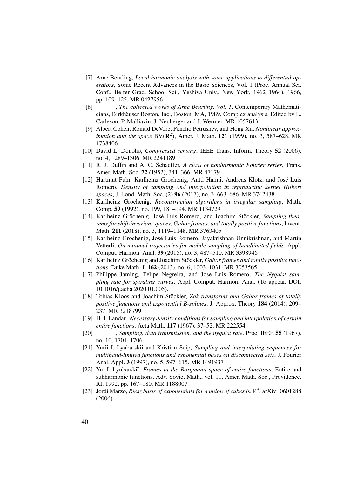- [7] Arne Beurling, *Local harmonic analysis with some applications to differential operators*, Some Recent Advances in the Basic Sciences, Vol. 1 (Proc. Annual Sci. Conf., Belfer Grad. School Sci., Yeshiva Univ., New York, 1962–1964), 1966, pp. 109–125. MR 0427956
- [8] , *The collected works of Arne Beurling. Vol. 1*, Contemporary Mathematicians, Birkhäuser Boston, Inc., Boston, MA, 1989, Complex analysis, Edited by L. Carleson, P. Malliavin, J. Neuberger and J. Wermer. MR 1057613
- [9] Albert Cohen, Ronald DeVore, Pencho Petrushev, and Hong Xu, *Nonlinear approx*imation and the space  $BV(R^2)$ , Amer. J. Math. **121** (1999), no. 3, 587–628. MR 1738406
- [10] David L. Donoho, *Compressed sensing*, IEEE Trans. Inform. Theory 52 (2006), no. 4, 1289–1306. MR 2241189
- [11] R. J. Duffin and A. C. Schaeffer, *A class of nonharmonic Fourier series*, Trans. Amer. Math. Soc. 72 (1952), 341–366. MR 47179
- [12] Hartmut Führ, Karlheinz Gröchenig, Antti Haimi, Andreas Klotz, and José Luis Romero, *Density of sampling and interpolation in reproducing kernel Hilbert spaces*, J. Lond. Math. Soc. (2) 96 (2017), no. 3, 663–686. MR 3742438
- [13] Karlheinz Gröchenig, *Reconstruction algorithms in irregular sampling*, Math. Comp. 59 (1992), no. 199, 181–194. MR 1134729
- [14] Karlheinz Gröchenig, José Luis Romero, and Joachim Stöckler, *Sampling theorems for shift-invariant spaces, Gabor frames, and totally positive functions*, Invent. Math. 211 (2018), no. 3, 1119–1148. MR 3763405
- [15] Karlheinz Gröchenig, José Luis Romero, Jayakrishnan Unnikrishnan, and Martin Vetterli, *On minimal trajectories for mobile sampling of bandlimited fields*, Appl. Comput. Harmon. Anal. 39 (2015), no. 3, 487–510. MR 3398946
- [16] Karlheinz Gröchenig and Joachim Stöckler, *Gabor frames and totally positive functions*, Duke Math. J. 162 (2013), no. 6, 1003–1031. MR 3053565
- [17] Philippe Jaming, Felipe Negreira, and José Luis Romero, *The Nyquist sampling rate for spiraling curves*, Appl. Comput. Harmon. Anal. (To appear. DOI: 10.1016/j.acha.2020.01.005).
- [18] Tobias Kloos and Joachim Stöckler, *Zak transforms and Gabor frames of totally positive functions and exponential B-splines*, J. Approx. Theory 184 (2014), 209– 237. MR 3218799
- [19] H. J. Landau, *Necessary density conditions for sampling and interpolation of certain entire functions*, Acta Math. 117 (1967), 37–52. MR 222554
- [20] , *Sampling, data transmission, and the nyquist rate*, Proc. IEEE 55 (1967), no. 10, 1701–1706.
- [21] Yurii I. Lyubarskii and Kristian Seip, *Sampling and interpolating sequences for multiband-limited functions and exponential bases on disconnected sets*, J. Fourier Anal. Appl. 3 (1997), no. 5, 597–615. MR 1491937
- [22] Yu. I. Lyubarskiĭ, *Frames in the Bargmann space of entire functions*, Entire and subharmonic functions, Adv. Soviet Math., vol. 11, Amer. Math. Soc., Providence, RI, 1992, pp. 167–180. MR 1188007
- [23] Jordi Marzo, *Riesz basis of exponentials for a union of cubes in*  $\mathbb{R}^d$ , arXiv: 0601288 (2006).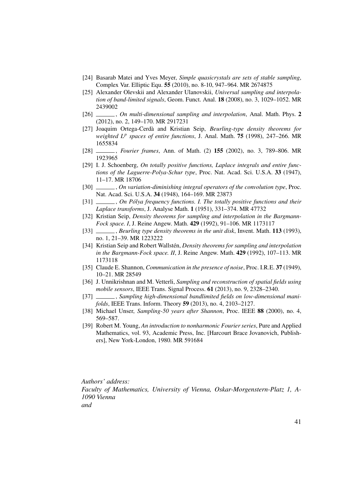- [24] Basarab Matei and Yves Meyer, *Simple quasicrystals are sets of stable sampling*, Complex Var. Elliptic Equ. 55 (2010), no. 8-10, 947–964. MR 2674875
- [25] Alexander Olevskii and Alexander Ulanovskii, *Universal sampling and interpolation of band-limited signals*, Geom. Funct. Anal. 18 (2008), no. 3, 1029–1052. MR 2439002
- [26] , *On multi-dimensional sampling and interpolation*, Anal. Math. Phys. 2 (2012), no. 2, 149–170. MR 2917231
- [27] Joaquim Ortega-Cerdà and Kristian Seip, *Beurling-type density theorems for weighted L<sup>p</sup> spaces of entire functions*, J. Anal. Math. 75 (1998), 247–266. MR 1655834
- [28] , *Fourier frames*, Ann. of Math. (2) 155 (2002), no. 3, 789–806. MR 1923965
- [29] I. J. Schoenberg, *On totally positive functions, Laplace integrals and entire functions of the Laguerre-Polya-Schur type*, Proc. Nat. Acad. Sci. U.S.A. 33 (1947), 11–17. MR 18706
- [30] , *On variation-diminishing integral operators of the convolution type*, Proc. Nat. Acad. Sci. U.S.A. 34 (1948), 164–169. MR 23873
- [31] , *On Pólya frequency functions. I. The totally positive functions and their Laplace transforms*, J. Analyse Math. 1 (1951), 331–374. MR 47732
- [32] Kristian Seip, *Density theorems for sampling and interpolation in the Bargmann-Fock space. I*, J. Reine Angew. Math. 429 (1992), 91–106. MR 1173117
- [33] , *Beurling type density theorems in the unit disk*, Invent. Math. 113 (1993), no. 1, 21–39. MR 1223222
- [34] Kristian Seip and Robert Wallstén, *Density theorems for sampling and interpolation in the Bargmann-Fock space. II*, J. Reine Angew. Math. 429 (1992), 107–113. MR 1173118
- [35] Claude E. Shannon, *Communication in the presence of noise*, Proc. I.R.E. 37 (1949), 10–21. MR 28549
- [36] J. Unnikrishnan and M. Vetterli, *Sampling and reconstruction of spatial fields using mobile sensors*, IEEE Trans. Signal Process. 61 (2013), no. 9, 2328–2340.
- [37] , *Sampling high-dimensional bandlimited fields on low-dimensional manifolds*, IEEE Trans. Inform. Theory 59 (2013), no. 4, 2103–2127.
- [38] Michael Unser, *Sampling-50 years after Shannon*, Proc. IEEE 88 (2000), no. 4, 569–587.
- [39] Robert M. Young, *An introduction to nonharmonic Fourier series*, Pure and Applied Mathematics, vol. 93, Academic Press, Inc. [Harcourt Brace Jovanovich, Publishers], New York-London, 1980. MR 591684

*Authors' address: Faculty of Mathematics, University of Vienna, Oskar-Morgenstern-Platz 1, A-1090 Vienna and*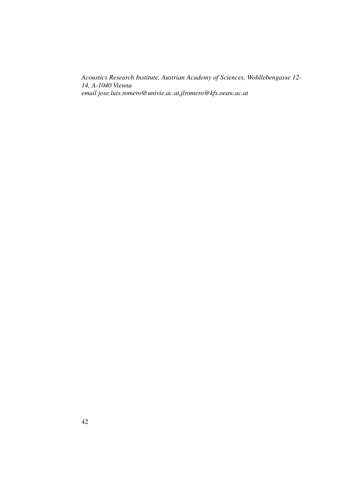*Acoustics Research Institute, Austrian Academy of Sciences, Wohllebengasse 12- 14, A-1040 Vienna email jose.luis.romero@univie.ac.at,jlromero@kfs.oeaw.ac.at*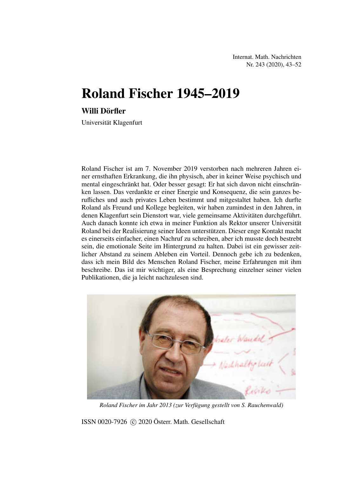Internat. Math. Nachrichten Nr. 243 (2020), 43–52

# Roland Fischer 1945–2019

# Willi Dörfler

Universität Klagenfurt

Roland Fischer ist am 7. November 2019 verstorben nach mehreren Jahren einer ernsthaften Erkrankung, die ihn physisch, aber in keiner Weise psychisch und mental eingeschränkt hat. Oder besser gesagt: Er hat sich davon nicht einschränken lassen. Das verdankte er einer Energie und Konsequenz, die sein ganzes berufliches und auch privates Leben bestimmt und mitgestaltet haben. Ich durfte Roland als Freund und Kollege begleiten, wir haben zumindest in den Jahren, in denen Klagenfurt sein Dienstort war, viele gemeinsame Aktivitäten durchgeführt. Auch danach konnte ich etwa in meiner Funktion als Rektor unserer Universität Roland bei der Realisierung seiner Ideen unterstützen. Dieser enge Kontakt macht es einerseits einfacher, einen Nachruf zu schreiben, aber ich musste doch bestrebt sein, die emotionale Seite im Hintergrund zu halten. Dabei ist ein gewisser zeitlicher Abstand zu seinem Ableben ein Vorteil. Dennoch gebe ich zu bedenken, dass ich mein Bild des Menschen Roland Fischer, meine Erfahrungen mit ihm beschreibe. Das ist mir wichtiger, als eine Besprechung einzelner seiner vielen Publikationen, die ja leicht nachzulesen sind.



*Roland Fischer im Jahr 2013 (zur Verfügung gestellt von S. Rauchenwald)*

ISSN 0020-7926 (c) 2020 Österr. Math. Gesellschaft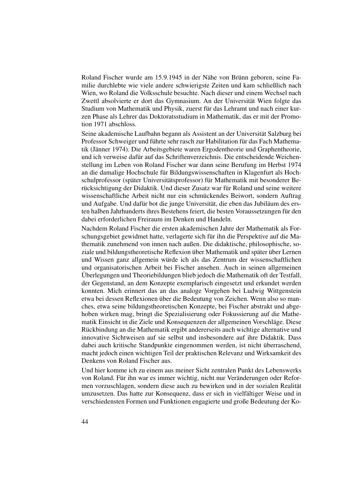Roland Fischer wurde am 15.9.1945 in der Nähe von Brünn geboren, seine Familie durchlebte wie viele andere schwierigste Zeiten und kam schließlich nach Wien, wo Roland die Volksschule besuchte. Nach dieser und einem Wechsel nach Zwettl absolvierte er dort das Gymnasium. An der Universität Wien folgte das Studium von Mathematik und Physik, zuerst für das Lehramt und nach einer kurzen Phase als Lehrer das Doktoratsstudium in Mathematik, das er mit der Promotion 1971 abschloss.

Seine akademische Laufbahn begann als Assistent an der Universität Salzburg bei Professor Schweiger und führte sehr rasch zur Habilitation für das Fach Mathematik (Jänner 1974). Die Arbeitsgebiete waren Ergodentheorie und Graphentheorie, und ich verweise dafür auf das Schriftenverzeichnis. Die entscheidende Weichenstellung im Leben von Roland Fischer war dann seine Berufung im Herbst 1974 an die damalige Hochschule für Bildungswissenschaften in Klagenfurt als Hochschulprofessor (später Universitätsprofessor) für Mathematik mit besonderer Berücksichtigung der Didaktik. Und dieser Zusatz war für Roland und seine weitere wissenschaftliche Arbeit nicht nur ein schmückendes Beiwort, sondern Auftrag und Aufgabe. Und dafür bot die junge Universität, die eben das Jubiläum des ersten halben Jahrhunderts ihres Bestehens feiert, die besten Voraussetzungen für den dabei erforderlichen Freiraum im Denken und Handeln.

Nachdem Roland Fischer die ersten akademischen Jahre der Mathematik als Forschungsgebiet gewidmet hatte, verlagerte sich für ihn die Perspektive auf die Mathematik zunehmend von innen nach außen. Die didaktische, philosophische, soziale und bildungstheoretische Reflexion über Mathematik und später über Lernen und Wissen ganz allgemein würde ich als das Zentrum der wissenschaftlichen und organisatorischen Arbeit bei Fischer ansehen. Auch in seinen allgemeinen Überlegungen und Theoriebildungen blieb jedoch die Mathematik oft der Testfall, der Gegenstand, an dem Konzepte exemplarisch eingesetzt und erkundet werden konnten. Mich erinnert das an das analoge Vorgehen bei Ludwig Wittgenstein etwa bei dessen Reflexionen über die Bedeutung von Zeichen. Wenn also so manches, etwa seine bildungstheoretischen Konzepte, bei Fischer abstrakt und abgehoben wirken mag, bringt die Spezialisierung oder Fokussierung auf die Mathematik Einsicht in die Ziele und Konsequenzen der allgemeinen Vorschläge. Diese Rückbindung an die Mathematik ergibt andererseits auch wichtige alternative und innovative Sichtweisen auf sie selbst und insbesondere auf ihre Didaktik. Dass dabei auch kritische Standpunkte eingenommen werden, ist nicht überraschend, macht jedoch einen wichtigen Teil der praktischen Relevanz und Wirksamkeit des Denkens von Roland Fischer aus.

Und hier komme ich zu einem aus meiner Sicht zentralen Punkt des Lebenswerks von Roland. Für ihn war es immer wichtig, nicht nur Veränderungen oder Reformen vorzuschlagen, sondern diese auch zu bewirken und in der sozialen Realität umzusetzen. Das hatte zur Konsequenz, dass er sich in vielfältiger Weise und in verschiedensten Formen und Funktionen engagierte und große Bedeutung der Ko-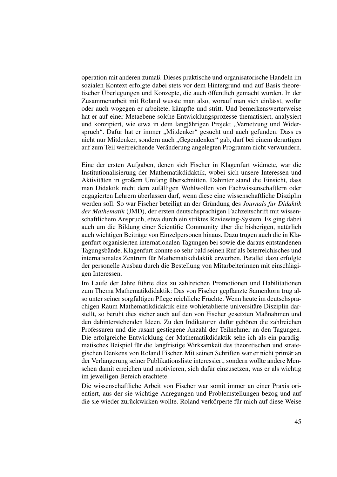operation mit anderen zumaß. Dieses praktische und organisatorische Handeln im sozialen Kontext erfolgte dabei stets vor dem Hintergrund und auf Basis theoretischer Überlegungen und Konzepte, die auch öffentlich gemacht wurden. In der Zusammenarbeit mit Roland wusste man also, worauf man sich einlässt, wofür oder auch wogegen er arbeitete, kämpfte und stritt. Und bemerkenswerterweise hat er auf einer Metaebene solche Entwicklungsprozesse thematisiert, analysiert und konzipiert, wie etwa in dem langjährigen Projekt "Vernetzung und Widerspruch". Dafür hat er immer "Mitdenker" gesucht und auch gefunden. Dass es nicht nur Mitdenker, sondern auch "Gegendenker" gab, darf bei einem derartigen auf zum Teil weitreichende Veränderung angelegten Programm nicht verwundern.

Eine der ersten Aufgaben, denen sich Fischer in Klagenfurt widmete, war die Institutionalisierung der Mathematikdidaktik, wobei sich unsere Interessen und Aktivitäten in großem Umfang überschnitten. Dahinter stand die Einsicht, dass man Didaktik nicht dem zufälligen Wohlwollen von Fachwissenschaftlern oder engagierten Lehrern überlassen darf, wenn diese eine wissenschaftliche Disziplin werden soll. So war Fischer beteiligt an der Gründung des *Journals für Didaktik der Mathematik* (JMD), der ersten deutschsprachigen Fachzeitschrift mit wissenschaftlichem Anspruch, etwa durch ein striktes Reviewing-System. Es ging dabei auch um die Bildung einer Scientific Community über die bisherigen, natürlich auch wichtigen Beiträge von Einzelpersonen hinaus. Dazu trugen auch die in Klagenfurt organisierten internationalen Tagungen bei sowie die daraus entstandenen Tagungsbände. Klagenfurt konnte so sehr bald seinen Ruf als österreichisches und internationales Zentrum für Mathematikdidaktik erwerben. Parallel dazu erfolgte der personelle Ausbau durch die Bestellung von Mitarbeiterinnen mit einschlägigen Interessen.

Im Laufe der Jahre führte dies zu zahlreichen Promotionen und Habilitationen zum Thema Mathematikdidaktik: Das von Fischer gepflanzte Samenkorn trug also unter seiner sorgfältigen Pflege reichliche Früchte. Wenn heute im deutschsprachigen Raum Mathematikdidaktik eine wohletablierte universitäre Disziplin darstellt, so beruht dies sicher auch auf den von Fischer gesetzten Maßnahmen und den dahinterstehenden Ideen. Zu den Indikatoren dafür gehören die zahlreichen Professuren und die rasant gestiegene Anzahl der Teilnehmer an den Tagungen. Die erfolgreiche Entwicklung der Mathematikdidaktik sehe ich als ein paradigmatisches Beispiel für die langfristige Wirksamkeit des theoretischen und strategischen Denkens von Roland Fischer. Mit seinen Schriften war er nicht primär an der Verlängerung seiner Publikationsliste interessiert, sondern wollte andere Menschen damit erreichen und motivieren, sich dafür einzusetzen, was er als wichtig im jeweiligen Bereich erachtete.

Die wissenschaftliche Arbeit von Fischer war somit immer an einer Praxis orientiert, aus der sie wichtige Anregungen und Problemstellungen bezog und auf die sie wieder zurückwirken wollte. Roland verkörperte für mich auf diese Weise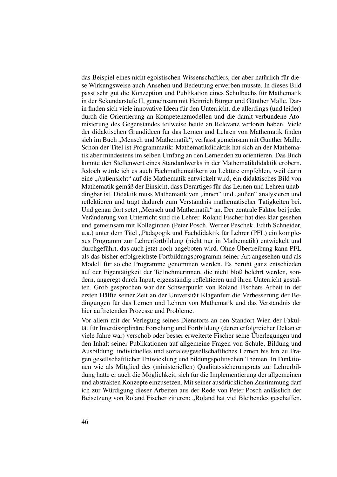das Beispiel eines nicht egoistischen Wissenschaftlers, der aber natürlich für diese Wirkungsweise auch Ansehen und Bedeutung erwerben musste. In dieses Bild passt sehr gut die Konzeption und Publikation eines Schulbuchs für Mathematik in der Sekundarstufe II, gemeinsam mit Heinrich Bürger und Günther Malle. Darin finden sich viele innovative Ideen für den Unterricht, die allerdings (und leider) durch die Orientierung an Kompetenzmodellen und die damit verbundene Atomisierung des Gegenstandes teilweise heute an Relevanz verloren haben. Viele der didaktischen Grundideen für das Lernen und Lehren von Mathematik finden sich im Buch "Mensch und Mathematik", verfasst gemeinsam mit Günther Malle. Schon der Titel ist Programmatik: Mathematikdidaktik hat sich an der Mathematik aber mindestens im selben Umfang an den Lernenden zu orientieren. Das Buch konnte den Stellenwert eines Standardwerks in der Mathematikdidaktik erobern. Jedoch würde ich es auch Fachmathematikern zu Lektüre empfehlen, weil darin eine "Außensicht" auf die Mathematik entwickelt wird, ein didaktisches Bild von Mathematik gemäß der Einsicht, dass Derartiges für das Lernen und Lehren unabdingbar ist. Didaktik muss Mathematik von "innen" und "außen" analysieren und reflektieren und trägt dadurch zum Verständnis mathematischer Tätigkeiten bei. Und genau dort setzt "Mensch und Mathematik" an. Der zentrale Faktor bei jeder Veränderung von Unterricht sind die Lehrer. Roland Fischer hat dies klar gesehen und gemeinsam mit Kolleginnen (Peter Posch, Werner Peschek, Edith Schneider, u.a.) unter dem Titel "Pädagogik und Fachdidaktik für Lehrer (PFL) ein komplexes Programm zur Lehrerfortbildung (nicht nur in Mathematik) entwickelt und durchgeführt, das auch jetzt noch angeboten wird. Ohne Übertreibung kann PFL als das bisher erfolgreichste Fortbildungsprogramm seiner Art angesehen und als Modell für solche Programme genommen werden. Es beruht ganz entschieden auf der Eigentätigkeit der Teilnehmerinnen, die nicht bloß belehrt werden, sondern, angeregt durch Input, eigenständig reflektieren und ihren Unterricht gestalten. Grob gesprochen war der Schwerpunkt von Roland Fischers Arbeit in der ersten Hälfte seiner Zeit an der Universität Klagenfurt die Verbesserung der Bedingungen für das Lernen und Lehren von Mathematik und das Verständnis der hier auftretenden Prozesse und Probleme.

Vor allem mit der Verlegung seines Dienstorts an den Standort Wien der Fakultät für Interdisziplinäre Forschung und Fortbildung (deren erfolgreicher Dekan er viele Jahre war) verschob oder besser erweiterte Fischer seine Überlegungen und den Inhalt seiner Publikationen auf allgemeine Fragen von Schule, Bildung und Ausbildung, individuelles und soziales/gesellschaftliches Lernen bis hin zu Fragen gesellschaftlicher Entwicklung und bildungspolitischen Themen. In Funktionen wie als Mitglied des (ministeriellen) Qualitätssicherungsrats zur Lehrerbildung hatte er auch die Möglichkeit, sich für die Implementierung der allgemeinen und abstrakten Konzepte einzusetzen. Mit seiner ausdrücklichen Zustimmung darf ich zur Würdigung dieser Arbeiten aus der Rede von Peter Posch anlässlich der Beisetzung von Roland Fischer zitieren: "Roland hat viel Bleibendes geschaffen.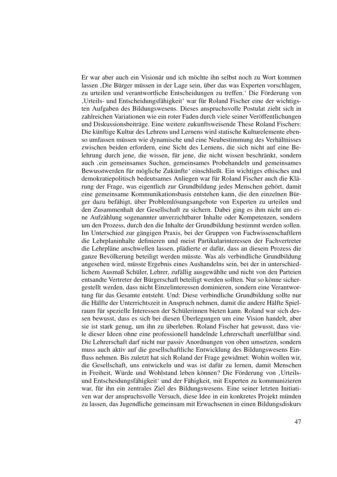Er war aber auch ein Visionär und ich möchte ihn selbst noch zu Wort kommen lassen 'Die Bürger müssen in der Lage sein, über das was Experten vorschlagen, zu urteilen und verantwortliche Entscheidungen zu treffen.' Die Förderung von 'Urteils- und Entscheidungsfähigkeit' war für Roland Fischer eine der wichtigsten Aufgaben des Bildungswesens. Dieses anspruchsvolle Postulat zieht sich in zahlreichen Variationen wie ein roter Faden durch viele seiner Veröffentlichungen und Diskussionsbeiträge. Eine weitere zukunftsweisende These Roland Fischers: Die künftige Kultur des Lehrens und Lernens wird statische Kulturelemente ebenso umfassen müssen wie dynamische und eine Neubestimmung des Verhältnisses zwischen beiden erfordern, eine Sicht des Lernens, die sich nicht auf eine Belehrung durch jene, die wissen, für jene, die nicht wissen beschränkt, sondern auch , ein gemeinsames Suchen, gemeinsames Probehandeln und gemeinsames Bewusstwerden für mögliche Zukünfte' einschließt. Ein wichtiges ethisches und demokratiepolitisch bedeutsames Anliegen war für Roland Fischer auch die Klärung der Frage, was eigentlich zur Grundbildung jedes Menschen gehört, damit eine gemeinsame Kommunikationsbasis entstehen kann, die den einzelnen Bürger dazu befähigt, über Problemlösungsangebote von Experten zu urteilen und den Zusammenhalt der Gesellschaft zu sichern. Dabei ging es ihm nicht um eine Aufzählung sogenannter unverzichtbarer Inhalte oder Kompetenzen, sondern um den Prozess, durch den die Inhalte der Grundbildung bestimmt werden sollen. Im Unterschied zur gängigen Praxis, bei der Gruppen von Fachwissenschaftlern die Lehrplaninhalte definieren und meist Partikularinteressen der Fachvertreter die Lehrpläne anschwellen lassen, plädierte er dafür, dass an diesem Prozess die ganze Bevölkerung beteiligt werden müsste. Was als verbindliche Grundbildung angesehen wird, müsste Ergebnis eines Aushandelns sein, bei der in unterschiedlichem Ausmaß Schüler, Lehrer, zufällig ausgewählte und nicht von den Parteien entsandte Vertreter der Bürgerschaft beteiligt werden sollten. Nur so könne sichergestellt werden, dass nicht Einzelinteressen dominieren, sondern eine Verantwortung für das Gesamte entsteht. Und: Diese verbindliche Grundbildung sollte nur die Hälfte der Unterrichtszeit in Anspruch nehmen, damit die andere Hälfte Spielraum für spezielle Interessen der Schülerinnen bieten kann. Roland war sich dessen bewusst, dass es sich bei diesen Überlegungen um eine Vision handelt, aber sie ist stark genug, um ihn zu überleben. Roland Fischer hat gewusst, dass viele dieser Ideen ohne eine professionell handelnde Lehrerschaft unerfüllbar sind. Die Lehrerschaft darf nicht nur passiv Anordnungen von oben umsetzen, sondern muss auch aktiv auf die gesellschaftliche Entwicklung des Bildungswesens Einfluss nehmen. Bis zuletzt hat sich Roland der Frage gewidmet: Wohin wollen wir, die Gesellschaft, uns entwickeln und was ist dafür zu lernen, damit Menschen in Freiheit, Würde und Wohlstand leben können? Die Förderung von ,Urteilsund Entscheidungsfähigkeit' und der Fähigkeit, mit Experten zu kommunizieren war, für ihn ein zentrales Ziel des Bildungswesens. Eine seiner letzten Initiativen war der anspruchsvolle Versuch, diese Idee in ein konkretes Projekt münden zu lassen, das Jugendliche gemeinsam mit Erwachsenen in einen Bildungsdiskurs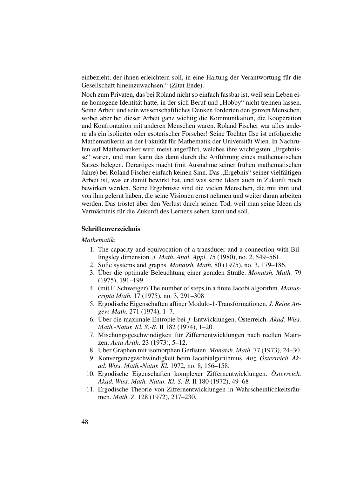einbezieht, der ihnen erleichtern soll, in eine Haltung der Verantwortung für die Gesellschaft hineinzuwachsen." (Zitat Ende).

Noch zum Privaten, das bei Roland nicht so einfach fassbar ist, weil sein Leben eine homogene Identität hatte, in der sich Beruf und "Hobby" nicht trennen lassen. Seine Arbeit und sein wissenschaftliches Denken forderten den ganzen Menschen, wobei aber bei dieser Arbeit ganz wichtig die Kommunikation, die Kooperation und Konfrontation mit anderen Menschen waren. Roland Fischer war alles andere als ein isolierter oder esoterischer Forscher! Seine Tochter Ilse ist erfolgreiche Mathematikerin an der Fakultät für Mathematik der Universität Wien. In Nachrufen auf Mathematiker wird meist angeführt, welches ihre wichtigsten "Ergebnisse" waren, und man kann das dann durch die Anführung eines mathematischen Satzes belegen. Derartiges macht (mit Ausnahme seiner frühen mathematischen Jahre) bei Roland Fischer einfach keinen Sinn. Das "Ergebnis" seiner vielfältigen Arbeit ist, was er damit bewirkt hat, und was seine Ideen auch in Zukunft noch bewirken werden. Seine Ergebnisse sind die vielen Menschen, die mit ihm und von ihm gelernt haben, die seine Visionen ernst nehmen und weiter daran arbeiten werden. Das tröstet über den Verlust durch seinen Tod, weil man seine Ideen als Vermächtnis für die Zukunft des Lernens sehen kann und soll.

#### Schriftenverzeichnis

#### *Mathematik*:

- 1. The capacity and equivocation of a transducer and a connection with Billingsley dimension. *J. Math. Anal. Appl.* 75 (1980), no. 2, 549–561.
- 2. Sofic systems and graphs. *Monatsh. Math.* 80 (1975), no. 3, 179–186.
- 3. Über die optimale Beleuchtung einer geraden Straße. *Monatsh. Math.* 79 (1975), 191–199.
- 4. (mit F. Schweiger) The number of steps in a finite Jacobi algorithm. *Manuscripta Math.* 17 (1975), no. 3, 291–308
- 5. Ergodische Eigenschaften affiner Modulo-1-Transformationen. *J. Reine Angew. Math.* 271 (1974), 1–7.
- 6. Über die maximale Entropie bei *f*-Entwicklungen. Österreich. *Akad. Wiss. Math.-Natur. Kl. S.-B.* II 182 (1974), 1–20.
- 7. Mischungsgeschwindigkeit für Ziffernentwicklungen nach reellen Matrizen. *Acta Arith.* 23 (1973), 5–12.
- 8. Über Graphen mit isomorphen Gerüsten. *Monatsh. Math.* 77 (1973), 24–30.
- 9. Konvergenzgeschwindigkeit beim Jacobialgorithmus. *Anz. Österreich. Akad. Wiss. Math.-Natur. Kl.* 1972, no. 8, 156–158.
- 10. Ergodische Eigenschaften komplexer Ziffernentwicklungen. *Österreich. Akad. Wiss. Math.-Natur. Kl. S.-B.* II 180 (1972), 49–68
- 11. Ergodische Theorie von Ziffernentwicklungen in Wahrscheinlichkeitsräumen. *Math. Z.* 128 (1972), 217–230.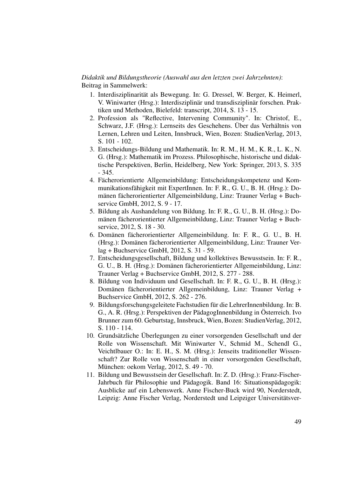## *Didaktik und Bildungstheorie (Auswahl aus den letzten zwei Jahrzehnten)*: Beitrag in Sammelwerk:

- 1. Interdisziplinarität als Bewegung. In: G. Dressel, W. Berger, K. Heimerl, V. Winiwarter (Hrsg.): Interdisziplinär und transdisziplinär forschen. Praktiken und Methoden, Bielefeld: transcript, 2014, S. 13 - 15.
- 2. Profession als "Reflective, Intervening Community". In: Christof, E., Schwarz, J.F. (Hrsg.): Lernseits des Geschehens. Über das Verhältnis von Lernen, Lehren und Leiten, Innsbruck, Wien, Bozen: StudienVerlag, 2013, S. 101 - 102.
- 3. Entscheidungs-Bildung und Mathematik. In: R. M., H. M., K. R., L. K., N. G. (Hrsg.): Mathematik im Prozess. Philosophische, historische und didaktische Perspektiven, Berlin, Heidelberg, New York: Springer, 2013, S. 335 - 345.
- 4. Fächerorientierte Allgemeinbildung: Entscheidungskompetenz und Kommunikationsfähigkeit mit ExpertInnen. In: F. R., G. U., B. H. (Hrsg.): Domänen fächerorientierter Allgemeinbildung, Linz: Trauner Verlag + Buchservice GmbH, 2012, S. 9 - 17.
- 5. Bildung als Aushandelung von Bildung. In: F. R., G. U., B. H. (Hrsg.): Domänen fächerorientierter Allgemeinbildung, Linz: Trauner Verlag + Buchservice, 2012, S. 18 - 30.
- 6. Domänen fächerorientierter Allgemeinbildung. In: F. R., G. U., B. H. (Hrsg.): Domänen fächerorientierter Allgemeinbildung, Linz: Trauner Verlag + Buchservice GmbH, 2012, S. 31 - 59.
- 7. Entscheidungsgesellschaft, Bildung und kollektives Bewusstsein. In: F. R., G. U., B. H. (Hrsg.): Domänen fächerorientierter Allgemeinbildung, Linz: Trauner Verlag + Buchservice GmbH, 2012, S. 277 - 288.
- 8. Bildung von Individuum und Gesellschaft. In: F. R., G. U., B. H. (Hrsg.): Domänen fächerorientierter Allgemeinbildung, Linz: Trauner Verlag + Buchservice GmbH, 2012, S. 262 - 276.
- 9. Bildungsforschungsgeleitete Fachstudien für die LehrerInnenbildung. In: B. G., A. R. (Hrsg.): Perspektiven der PädagogInnenbildung in Österreich. Ivo Brunner zum 60. Geburtstag, Innsbruck, Wien, Bozen: StudienVerlag, 2012, S. 110 - 114.
- 10. Grundsätzliche Überlegungen zu einer vorsorgenden Gesellschaft und der Rolle von Wissenschaft. Mit Winiwarter V., Schmid M., Schendl G., Veichtlbauer O.: In: E. H., S. M. (Hrsg.): Jenseits traditioneller Wissenschaft? Zur Rolle von Wissenschaft in einer vorsorgenden Gesellschaft, München: oekom Verlag, 2012, S. 49 - 70.
- 11. Bildung und Bewusstsein der Gesellschaft. In: Z. D. (Hrsg.): Franz-Fischer-Jahrbuch für Philosophie und Pädagogik. Band 16: Situationspädagogik: Ausblicke auf ein Lebenswerk. Anne Fischer-Buck wird 90, Norderstedt, Leipzig: Anne Fischer Verlag, Norderstedt und Leipziger Universitätsver-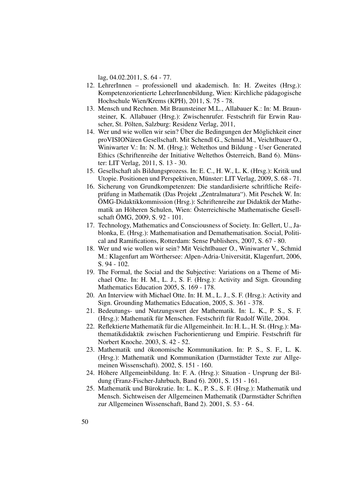lag, 04.02.2011, S. 64 - 77.

- 12. LehrerInnen professionell und akademisch. In: H. Zweites (Hrsg.): Kompetenzorientierte LehrerInnenbildung, Wien: Kirchliche pädagogische Hochschule Wien/Krems (KPH), 2011, S. 75 - 78.
- 13. Mensch und Rechnen. Mit Braunsteiner M.L., Allabauer K.: In: M. Braunsteiner, K. Allabauer (Hrsg.): Zwischenrufer. Festschrift für Erwin Rauscher, St. Pölten, Salzburg: Residenz Verlag, 2011,
- 14. Wer und wie wollen wir sein? Über die Bedingungen der Möglichkeit einer proVISIONären Gesellschaft. Mit Schendl G., Schmid M., Veichtlbauer O., Winiwarter V.: In: N. M. (Hrsg.): Weltethos und Bildung - User Generated Ethics (Schriftenreihe der Initiative Weltethos Österreich, Band 6). Münster: LIT Verlag, 2011, S. 13 - 30.
- 15. Gesellschaft als Bildungsprozess. In: E. C., H. W., L. K. (Hrsg.): Kritik und Utopie. Positionen und Perspektiven, Münster: LIT Verlag, 2009, S. 68 - 71.
- 16. Sicherung von Grundkompetenzen: Die standardisierte schriftliche Reifeprüfung in Mathematik (Das Projekt "Zentralmatura"). Mit Peschek W. In: ÖMG-Didaktikkommission (Hrsg.): Schriftenreihe zur Didaktik der Mathematik an Höheren Schulen, Wien: Österreichische Mathematische Gesellschaft ÖMG, 2009, S. 92 - 101.
- 17. Technology, Mathematics and Consciousness of Society. In: Gellert, U., Jablonka, E. (Hrsg.): Mathematisation and Demathematisation. Social, Political and Ramifications, Rotterdam: Sense Publishers, 2007, S. 67 - 80.
- 18. Wer und wie wollen wir sein? Mit Veichtlbauer O., Winiwarter V., Schmid M.: Klagenfurt am Wörthersee: Alpen-Adria-Universität, Klagenfurt, 2006, S. 94 - 102.
- 19. The Formal, the Social and the Subjective: Variations on a Theme of Michael Otte. In: H. M., L. J., S. F. (Hrsg.): Activity and Sign. Grounding Mathematics Education 2005, S. 169 - 178.
- 20. An Interview with Michael Otte. In: H. M., L. J., S. F. (Hrsg.): Activity and Sign. Grounding Mathematics Education, 2005, S. 361 - 378.
- 21. Bedeutungs- und Nutzungswert der Mathematik. In: L. K., P. S., S. F. (Hrsg.): Mathematik für Menschen. Festschrift für Rudolf Wille, 2004.
- 22. Reflektierte Mathematik für die Allgemeinheit. In: H. L., H. St. (Hrsg.): Mathematikdidaktik zwischen Fachorientierung und Empirie. Festschrift für Norbert Knoche. 2003, S. 42 - 52.
- 23. Mathematik und ökonomische Kommunikation. In: P. S., S. F., L. K. (Hrsg.): Mathematik und Kommunikation (Darmstädter Texte zur Allgemeinen Wissenschaft). 2002, S. 151 - 160.
- 24. Höhere Allgemeinbildung. In: F. A. (Hrsg.): Situation Ursprung der Bildung (Franz-Fischer-Jahrbuch, Band 6). 2001, S. 151 - 161.
- 25. Mathematik und Bürokratie. In: L. K., P. S., S. F. (Hrsg.): Mathematik und Mensch. Sichtweisen der Allgemeinen Mathematik (Darmstädter Schriften zur Allgemeinen Wissenschaft, Band 2). 2001, S. 53 - 64.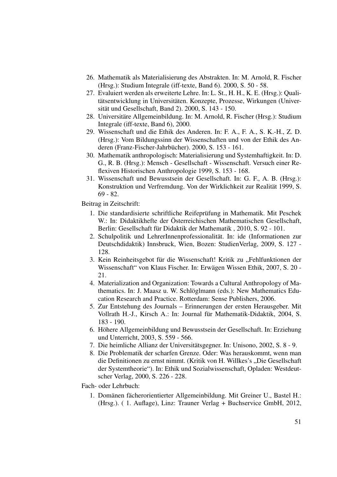- 26. Mathematik als Materialisierung des Abstrakten. In: M. Arnold, R. Fischer (Hrsg.): Studium Integrale (iff-texte, Band 6). 2000, S. 50 - 58.
- 27. Evaluiert werden als erweiterte Lehre. In: L. St., H. H., K. E. (Hrsg.): Qualitätsentwicklung in Universitäten. Konzepte, Prozesse, Wirkungen (Universität und Gesellschaft, Band 2). 2000, S. 143 - 150.
- 28. Universitäre Allgemeinbildung. In: M. Arnold, R. Fischer (Hrsg.): Studium Integrale (iff-texte, Band 6), 2000.
- 29. Wissenschaft und die Ethik des Anderen. In: F. A., F. A., S. K.-H., Z. D. (Hrsg.): Vom Bildungssinn der Wissenschaften und von der Ethik des Anderen (Franz-Fischer-Jahrbücher). 2000, S. 153 - 161.
- 30. Mathematik anthropologisch: Materialisierung und Systemhaftigkeit. In: D. G., R. B. (Hrsg.): Mensch - Gesellschaft - Wissenschaft. Versuch einer Reflexiven Historischen Anthropologie 1999, S. 153 - 168.
- 31. Wissenschaft und Bewusstsein der Gesellschaft. In: G. F., A. B. (Hrsg.): Konstruktion und Verfremdung. Von der Wirklichkeit zur Realität 1999, S. 69 - 82.

Beitrag in Zeitschrift:

- 1. Die standardisierte schriftliche Reifeprüfung in Mathematik. Mit Peschek W.: In: Didaktikhefte der Österreichischen Mathematischen Gesellschaft, Berlin: Gesellschaft für Didaktik der Mathematik , 2010, S. 92 - 101.
- 2. Schulpolitik und LehrerInnenprofessionalität. In: ide (Informationen zur Deutschdidaktik) Innsbruck, Wien, Bozen: StudienVerlag, 2009, S. 127 - 128.
- 3. Kein Reinheitsgebot für die Wissenschaft! Kritik zu "Fehlfunktionen der Wissenschaft" von Klaus Fischer. In: Erwägen Wissen Ethik, 2007, S. 20 - 21.
- 4. Materialization and Organization: Towards a Cultural Anthropology of Mathematics. In: J. Maasz u. W. Schlöglmann (eds.): New Mathematics Education Research and Practice. Rotterdam: Sense Publishers, 2006.
- 5. Zur Entstehung des Journals Erinnerungen der ersten Herausgeber. Mit Vollrath H.-J., Kirsch A.: In: Journal für Mathematik-Didaktik, 2004, S. 183 - 190.
- 6. Höhere Allgemeinbildung und Bewusstsein der Gesellschaft. In: Erziehung und Unterricht, 2003, S. 559 - 566.
- 7. Die heimliche Allianz der Universitätsgegner. In: Unisono, 2002, S. 8 9.
- 8. Die Problematik der scharfen Grenze. Oder: Was herauskommt, wenn man die Definitionen zu ernst nimmt. (Kritik von H. Willkes's "Die Gesellschaft der Systemtheorie"). In: Ethik und Sozialwissenschaft, Opladen: Westdeutscher Verlag, 2000, S. 226 - 228.

Fach- oder Lehrbuch:

1. Domänen fächerorientierter Allgemeinbildung. Mit Greiner U., Bastel H.: (Hrsg.). ( 1. Auflage), Linz: Trauner Verlag + Buchservice GmbH, 2012,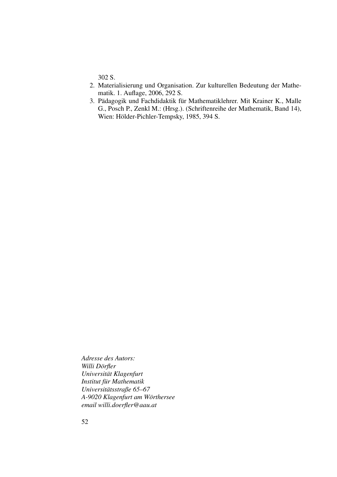302 S.

- 2. Materialisierung und Organisation. Zur kulturellen Bedeutung der Mathematik. 1. Auflage, 2006, 292 S.
- 3. Pädagogik und Fachdidaktik für Mathematiklehrer. Mit Krainer K., Malle G., Posch P., Zenkl M.: (Hrsg.). (Schriftenreihe der Mathematik, Band 14), Wien: Hölder-Pichler-Tempsky, 1985, 394 S.

*Adresse des Autors: Willi Dörfler Universität Klagenfurt Institut für Mathematik Universitätsstraße 65–67 A-9020 Klagenfurt am Wörthersee email willi.doerfler@aau.at*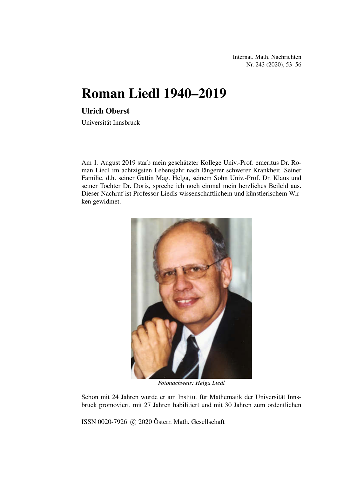Internat. Math. Nachrichten Nr. 243 (2020), 53–56

# Roman Liedl 1940–2019

# Ulrich Oberst

Universität Innsbruck

Am 1. August 2019 starb mein geschätzter Kollege Univ.-Prof. emeritus Dr. Roman Liedl im achtzigsten Lebensjahr nach längerer schwerer Krankheit. Seiner Familie, d.h. seiner Gattin Mag. Helga, seinem Sohn Univ.-Prof. Dr. Klaus und seiner Tochter Dr. Doris, spreche ich noch einmal mein herzliches Beileid aus. Dieser Nachruf ist Professor Liedls wissenschaftlichem und künstlerischem Wirken gewidmet.



*Fotonachweis: Helga Liedl*

Schon mit 24 Jahren wurde er am Institut für Mathematik der Universität Innsbruck promoviert, mit 27 Jahren habilitiert und mit 30 Jahren zum ordentlichen

ISSN 0020-7926 C 2020 Österr. Math. Gesellschaft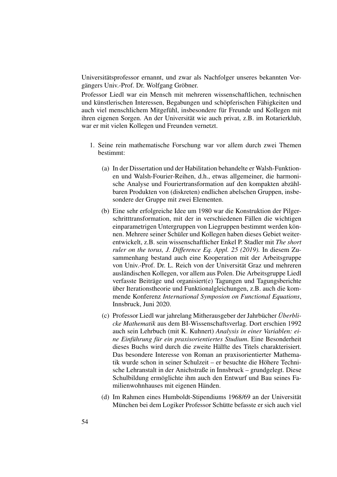Universitätsprofessor ernannt, und zwar als Nachfolger unseres bekannten Vorgängers Univ.-Prof. Dr. Wolfgang Gröbner.

Professor Liedl war ein Mensch mit mehreren wissenschaftlichen, technischen und künstlerischen Interessen, Begabungen und schöpferischen Fähigkeiten und auch viel menschlichem Mitgefühl, insbesondere für Freunde und Kollegen mit ihren eigenen Sorgen. An der Universität wie auch privat, z.B. im Rotarierklub, war er mit vielen Kollegen und Freunden vernetzt.

- 1. Seine rein mathematische Forschung war vor allem durch zwei Themen bestimmt:
	- (a) In der Dissertation und der Habilitation behandelte er Walsh-Funktionen und Walsh-Fourier-Reihen, d.h., etwas allgemeiner, die harmonische Analyse und Fouriertransformation auf den kompakten abzählbaren Produkten von (diskreten) endlichen abelschen Gruppen, insbesondere der Gruppe mit zwei Elementen.
	- (b) Eine sehr erfolgreiche Idee um 1980 war die Konstruktion der Pilgerschritttransformation, mit der in verschiedenen Fällen die wichtigen einparametrigen Untergruppen von Liegruppen bestimmt werden können. Mehrere seiner Schüler und Kollegen haben dieses Gebiet weiterentwickelt, z.B. sein wissenschaftlicher Enkel P. Stadler mit *The short ruler on the torus, J. Difference Eq. Appl. 25 (2019).* In diesem Zusammenhang bestand auch eine Kooperation mit der Arbeitsgruppe von Univ.-Prof. Dr. L. Reich von der Universität Graz und mehreren ausländischen Kollegen, vor allem aus Polen. Die Arbeitsgruppe Liedl verfasste Beiträge und organisiert(e) Tagungen und Tagungsberichte über Iterationstheorie und Funktionalgleichungen, z.B. auch die kommende Konferenz *International Symposion on Functional Equations*, Innsbruck, Juni 2020.
	- (c) Professor Liedl war jahrelang Mitherausgeber der Jahrbücher *Überblicke Mathematik* aus dem BI-Wissenschaftsverlag. Dort erschien 1992 auch sein Lehrbuch (mit K. Kuhnert) *Analysis in einer Variablen: eine Einführung für ein praxisorientiertes Studium*. Eine Besonderheit dieses Buchs wird durch die zweite Hälfte des Titels charakterisiert. Das besondere Interesse von Roman an praxisorientierter Mathematik wurde schon in seiner Schulzeit – er besuchte die Höhere Technische Lehranstalt in der Anichstraße in Innsbruck – grundgelegt. Diese Schulbildung ermöglichte ihm auch den Entwurf und Bau seines Familienwohnhauses mit eigenen Händen.
	- (d) Im Rahmen eines Humboldt-Stipendiums 1968/69 an der Universität München bei dem Logiker Professor Schütte befasste er sich auch viel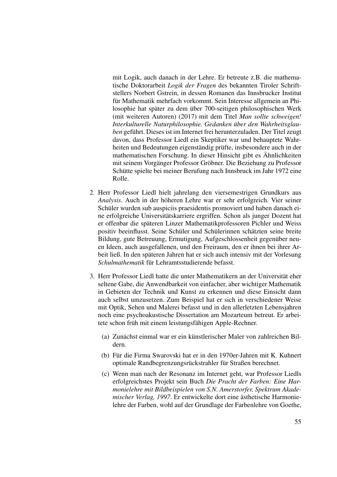mit Logik, auch danach in der Lehre. Er betreute z.B. die mathematische Doktorarbeit *Logik der Fragen* des bekannten Tiroler Schriftstellers Norbert Gstrein, in dessen Romanen das Innsbrucker Institut für Mathematik mehrfach vorkommt. Sein Interesse allgemein an Philosophie hat später zu dem über 700-seitigen philosophischen Werk (mit weiteren Autoren) (2017) mit dem Titel *Man sollte schweigen! Interkulturelle Naturphilosophie. Gedanken über den Wahrheitsglauben* geführt. Dieses ist im Internet frei herunterzuladen. Der Titel zeugt davon, dass Professor Liedl ein Skeptiker war und behauptete Wahrheiten und Bedeutungen eigenständig prüfte, insbesondere auch in der mathematischen Forschung. In dieser Hinsicht gibt es Ähnlichkeiten mit seinem Vorgänger Professor Gröbner. Die Beziehung zu Professor Schütte spielte bei meiner Berufung nach Innsbruck im Jahr 1972 eine Rolle.

- 2. Herr Professor Liedl hielt jahrelang den viersemestrigen Grundkurs aus *Analysis*. Auch in der höheren Lehre war er sehr erfolgreich. Vier seiner Schüler wurden sub auspiciis praesidentis promoviert und haben danach eine erfolgreiche Universitätskarriere ergriffen. Schon als junger Dozent hat er offenbar die späteren Linzer Mathematikprofessoren Pichler und Weiss positiv beeinflusst. Seine Schüler und Schülerinnen schätzten seine breite Bildung, gute Betreuung, Ermutigung, Aufgeschlossenheit gegenüber neuen Ideen, auch ausgefallenen, und den Freiraum, den er ihnen bei ihrer Arbeit ließ. In den späteren Jahren hat er sich auch intensiv mit der Vorlesung *Schulmathematik* für Lehramtsstudierende befasst.
- 3. Herr Professor Liedl hatte die unter Mathematikern an der Universität eher seltene Gabe, die Anwendbarkeit von einfacher, aber wichtiger Mathematik in Gebieten der Technik und Kunst zu erkennen und diese Einsicht dann auch selbst umzusetzen. Zum Beispiel hat er sich in verschiedener Weise mit Optik, Sehen und Malerei befasst und in den allerletzten Lebensjahren noch eine psychoakustische Dissertation am Mozarteum betreut. Er arbeitete schon früh mit einem leistungsfähigen Apple-Rechner.
	- (a) Zunächst einmal war er ein künstlerischer Maler von zahlreichen Bildern.
	- (b) Für die Firma Swarovski hat er in den 1970er-Jahren mit K. Kuhnert optimale Randbegrenzungsrückstrahler für Straßen berechnet.
	- (c) Wenn man nach der Resonanz im Internet geht, war Professor Liedls erfolgreichstes Projekt sein Buch *Die Pracht der Farben: Eine Harmonielehre mit Bildbeispielen von S.N. Amerstorfer, Spektrum Akademischer Verlag, 1997*. Er entwickelte dort eine ästhetische Harmonielehre der Farben, wohl auf der Grundlage der Farbenlehre von Goethe,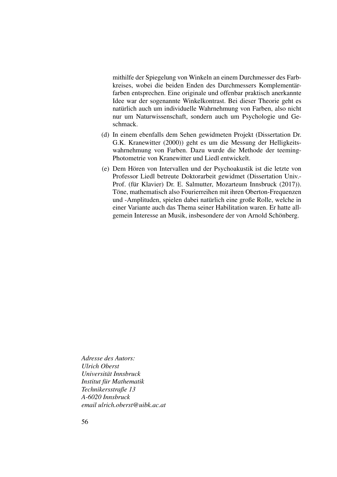mithilfe der Spiegelung von Winkeln an einem Durchmesser des Farbkreises, wobei die beiden Enden des Durchmessers Komplementärfarben entsprechen. Eine originale und offenbar praktisch anerkannte Idee war der sogenannte Winkelkontrast. Bei dieser Theorie geht es natürlich auch um individuelle Wahrnehmung von Farben, also nicht nur um Naturwissenschaft, sondern auch um Psychologie und Geschmack.

- (d) In einem ebenfalls dem Sehen gewidmeten Projekt (Dissertation Dr. G.K. Kranewitter (2000)) geht es um die Messung der Helligkeitswahrnehmung von Farben. Dazu wurde die Methode der teeming-Photometrie von Kranewitter und Liedl entwickelt.
- (e) Dem Hören von Intervallen und der Psychoakustik ist die letzte von Professor Liedl betreute Doktorarbeit gewidmet (Dissertation Univ.- Prof. (für Klavier) Dr. E. Salmutter, Mozarteum Innsbruck (2017)). Töne, mathematisch also Fourierreihen mit ihren Oberton-Frequenzen und -Amplituden, spielen dabei natürlich eine große Rolle, welche in einer Variante auch das Thema seiner Habilitation waren. Er hatte allgemein Interesse an Musik, insbesondere der von Arnold Schönberg.

*Adresse des Autors: Ulrich Oberst Universität Innsbruck Institut für Mathematik Technikersstraße 13 A-6020 Innsbruck email ulrich.oberst@uibk.ac.at*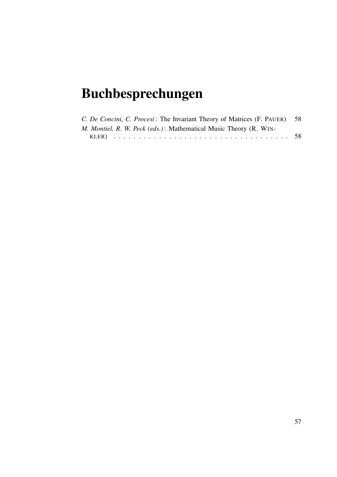# Buchbesprechungen

| C. De Concini, C. Procesi: The Invariant Theory of Matrices (F. PAUER) 58 |  |
|---------------------------------------------------------------------------|--|
| M. Montiel, R. W. Peck (eds.): Mathematical Music Theory (R. WIN-         |  |
|                                                                           |  |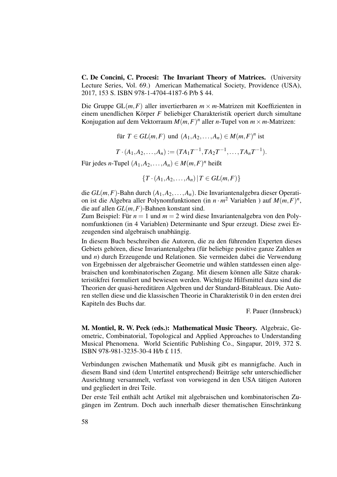C. De Concini, C. Procesi: The Invariant Theory of Matrices. (University Lecture Series, Vol. 69.) American Mathematical Society, Providence (USA), 2017, 153 S. ISBN 978-1-4704-4187-6 P/b \$ 44.

Die Gruppe  $GL(m, F)$  aller invertierbaren  $m \times m$ -Matrizen mit Koeffizienten in einem unendlichen Körper *F* beliebiger Charakteristik operiert durch simultane Konjugation auf dem Vektorraum  $M(m, F)^n$  aller *n*-Tupel von  $m \times m$ -Matrizen:

für  $T \in GL(m, F)$  und  $(A_1, A_2, \ldots, A_n) \in M(m, F)^n$  ist

 $T \cdot (A_1, A_2, \ldots, A_n) := (TA_1T^{-1}, TA_2T^{-1}, \ldots, TA_nT^{-1}).$ 

Für jedes *n*-Tupel  $(A_1, A_2, \ldots, A_n) \in M(m, F)^n$  heißt

 ${T \cdot (A_1, A_2, \ldots, A_n) | T \in GL(m, F)}$ 

die *GL*(*m*,*F*)-Bahn durch (*A*1,*A*2,...,*An*). Die Invariantenalgebra dieser Operation ist die Algebra aller Polynomfunktionen (in  $n \cdot m^2$  Variablen) auf  $M(m, F)^n$ , die auf allen *GL*(*m*,*F*)-Bahnen konstant sind.

Zum Beispiel: Für  $n = 1$  und  $m = 2$  wird diese Invariantenalgebra von den Polynomfunktionen (in 4 Variablen) Determinante und Spur erzeugt. Diese zwei Erzeugenden sind algebraisch unabhängig.

In diesem Buch beschreiben die Autoren, die zu den führenden Experten dieses Gebiets gehören, diese Invariantenalgebra (für beliebige positive ganze Zahlen *m* und *n*) durch Erzeugende und Relationen. Sie vermeiden dabei die Verwendung von Ergebnissen der algebraischer Geometrie und wählen stattdessen einen algebraischen und kombinatorischen Zugang. Mit diesem können alle Sätze charakteristikfrei formuliert und bewiesen werden. Wichtigste Hilfsmittel dazu sind die Theorien der quasi-hereditären Algebren und der Standard-Bitableaux. Die Autoren stellen diese und die klassischen Theorie in Charakteristik 0 in den ersten drei Kapiteln des Buchs dar.

F. Pauer (Innsbruck)

M. Montiel, R. W. Peck (eds.): Mathematical Music Theory. Algebraic, Geometric, Combinatorial, Topological and Applied Approaches to Understanding Musical Phenomena. World Scientific Publishing Co., Singapur, 2019, 372 S. ISBN 978-981-3235-30-4 H/b £ 115.

Verbindungen zwischen Mathematik und Musik gibt es mannigfache. Auch in diesem Band sind (dem Untertitel entsprechend) Beiträge sehr unterschiedlicher Ausrichtung versammelt, verfasst von vorwiegend in den USA tätigen Autoren und gegliedert in drei Teile.

Der erste Teil enthält acht Artikel mit algebraischen und kombinatorischen Zugängen im Zentrum. Doch auch innerhalb dieser thematischen Einschränkung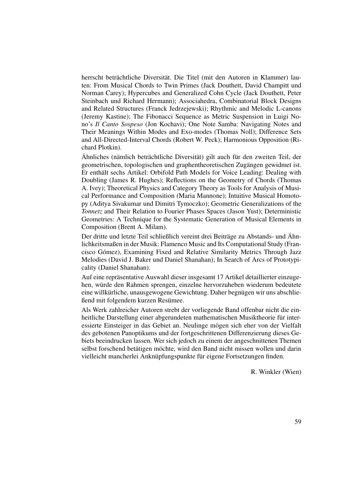herrscht beträchtliche Diversität. Die Titel (mit den Autoren in Klammer) lauten: From Musical Chords to Twin Primes (Jack Douthett, David Champitt und Norman Carey); Hypercubes and Generalized Cohn Cycle (Jack Douthett, Peter Steinbach und Richard Hermann); Associahedra, Combinatorial Block Designs and Related Structures (Franck Jedrzejewski); Rhythmic and Melodic L-canons (Jeremy Kastine); The Fibonacci Sequence as Metric Suspension in Luigi Nono's *Il Canto Sospeso* (Jon Kochavi); One Note Samba: Navigating Notes and Their Meanings Within Modes and Exo-modes (Thomas Noll); Difference Sets and All-Directed-Interval Chords (Robert W. Peck); Harmonious Opposition (Richard Plotkin).

Ähnliches (nämlich beträchtliche Diversität) gilt auch für den zweiten Teil, der geometrischen, topologischen und graphentheoretischen Zugängen gewidmet ist. Er enthält sechs Artikel: Orbifold Path Models for Voice Leading: Dealing with Doubling (James R. Hughes); Reflections on the Geometry of Chords (Thomas A. Ivey); Theoretical Physics and Category Theory as Tools for Analysis of Musical Performance and Composition (Maria Mannone); Intuitive Musical Homotopy (Aditya Sivakumar und Dimitri Tymoczko); Geometric Generalizations of the *Tonnetz* and Their Relation to Fourier Phases Spaces (Jason Yust); Deterministic Geometries: A Technique for the Systematic Generation of Musical Elements in Composition (Brent A. Milam).

Der dritte und letzte Teil schließlich vereint drei Beiträge zu Abstands- und Ähnlichkeitsmaßen in der Musik: Flamenco Music and Its Computational Study (Francisco Gómez), Examining Fixed and Relative Similarity Metrics Through Jazz Melodies (David J. Baker und Daniel Shanahan); In Search of Arcs of Prototypicality (Daniel Shanahan).

Auf eine repräsentative Auswahl dieser insgesamt 17 Artikel detaillierter einzugehen, würde den Rahmen sprengen, einzelne hervorzuheben wiederum bedeutete eine willkürliche, unausgewogene Gewichtung. Daher begnügen wir uns abschließend mit folgendem kurzen Resümee.

Als Werk zahlreicher Autoren strebt der vorliegende Band offenbar nicht die einheitliche Darstellung einer abgerundeten mathematischen Musiktheorie für interessierte Einsteiger in das Gebiet an. Neulinge mögen sich eher von der Vielfalt des gebotenen Panoptikums und der fortgeschrittenen Differenzierung dieses Gebiets beeindrucken lassen. Wer sich jedoch zu einem der angeschnittenen Themen selbst forschend betätigen möchte, wird den Band nicht missen wollen und darin vielleicht mancherlei Anknüpfungspunkte für eigene Fortsetzungen finden.

R. Winkler (Wien)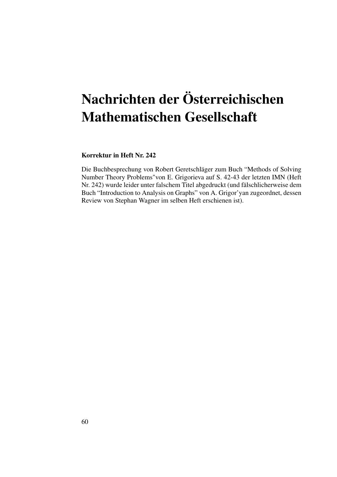# Nachrichten der Österreichischen Mathematischen Gesellschaft

## Korrektur in Heft Nr. 242

Die Buchbesprechung von Robert Geretschläger zum Buch "Methods of Solving Number Theory Problems"von E. Grigorieva auf S. 42-43 der letzten IMN (Heft Nr. 242) wurde leider unter falschem Titel abgedruckt (und fälschlicherweise dem Buch "Introduction to Analysis on Graphs" von A. Grigor'yan zugeordnet, dessen Review von Stephan Wagner im selben Heft erschienen ist).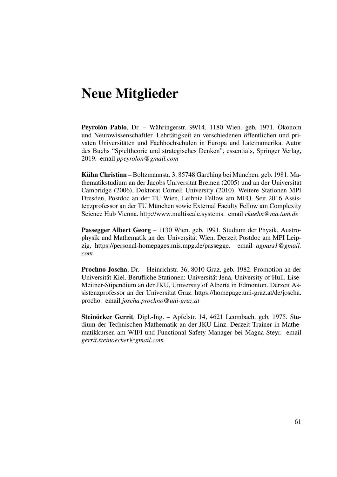# Neue Mitglieder

Peyrolón Pablo, Dr. – Währingerstr. 99/14, 1180 Wien. geb. 1971. Ökonom und Neurowissenschaftler. Lehrtätigkeit an verschiedenen öffentlichen und privaten Universitäten und Fachhochschulen in Europa und Lateinamerika. Autor des Buchs "Spieltheorie und strategisches Denken", essentials, Springer Verlag, 2019. email *ppeyrolon@gmail.com*

Kühn Christian – Boltzmannstr. 3, 85748 Garching bei München. geb. 1981. Mathematikstudium an der Jacobs Universität Bremen (2005) und an der Universität Cambridge (2006), Doktorat Cornell University (2010). Weitere Stationen MPI Dresden, Postdoc an der TU Wien, Leibniz Fellow am MFO. Seit 2016 Assistenzprofessor an der TU München sowie External Faculty Fellow am Complexity Science Hub Vienna. http://www.multiscale.systems. email *ckuehn@ma.tum.de*

Passegger Albert Georg – 1130 Wien. geb. 1991. Studium der Physik, Austrophysik und Mathematik an der Universität Wien. Derzeit Postdoc am MPI Leipzig. https://personal-homepages.mis.mpg.de/passegge. email *agpass1@gmail. com*

Prochno Joscha, Dr. – Heinrichstr. 36, 8010 Graz. geb. 1982. Promotion an der Universität Kiel. Berufliche Stationen: Universität Jena, University of Hull, Lise-Meitner-Stipendium an der JKU, University of Alberta in Edmonton. Derzeit Assistenzprofessor an der Universität Graz. https://homepage.uni-graz.at/de/joscha. procho. email *joscha.prochno@uni-graz.at*

Steinöcker Gerrit, Dipl.-Ing. – Apfelstr. 14, 4621 Leombach. geb. 1975. Studium der Technischen Mathematik an der JKU Linz. Derzeit Trainer in Mathematikkursen am WIFI und Functional Safety Manager bei Magna Steyr. email *gerrit.steinoecker@gmail.com*